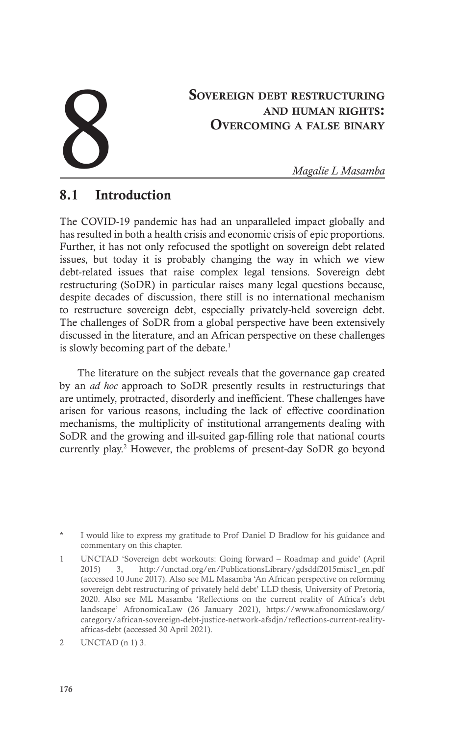# Sovereign debt restructuring and human rights: SOVEREIGN DEBT RESTRUCTURING<br>
AND HUMAN RIGHTS:<br>
OVERCOMING A FALSE BINARY<br>
Magalie L Masamba

# 8.1 Introduction

The COVID-19 pandemic has had an unparalleled impact globally and has resulted in both a health crisis and economic crisis of epic proportions. Further, it has not only refocused the spotlight on sovereign debt related issues, but today it is probably changing the way in which we view debt-related issues that raise complex legal tensions. Sovereign debt restructuring (SoDR) in particular raises many legal questions because, despite decades of discussion, there still is no international mechanism to restructure sovereign debt, especially privately-held sovereign debt. The challenges of SoDR from a global perspective have been extensively discussed in the literature, and an African perspective on these challenges is slowly becoming part of the debate.<sup>1</sup>

The literature on the subject reveals that the governance gap created by an *ad hoc* approach to SoDR presently results in restructurings that are untimely, protracted, disorderly and inefficient. These challenges have arisen for various reasons, including the lack of effective coordination mechanisms, the multiplicity of institutional arrangements dealing with SoDR and the growing and ill-suited gap-filling role that national courts currently play.<sup>2</sup> However, the problems of present-day SoDR go beyond

2 UNCTAD (n 1) 3.

I would like to express my gratitude to Prof Daniel D Bradlow for his guidance and commentary on this chapter.

<sup>1</sup> UNCTAD 'Sovereign debt workouts: Going forward – Roadmap and guide' (April 2015) 3, http://unctad.org/en/PublicationsLibrary/gdsddf2015misc1\_en.pdf (accessed 10 June 2017). Also see ML Masamba 'An African perspective on reforming sovereign debt restructuring of privately held debt' LLD thesis, University of Pretoria, 2020. Also see ML Masamba 'Reflections on the current reality of Africa's debt landscape' AfronomicaLaw (26 January 2021), https://www.afronomicslaw.org/ category/african-sovereign-debt-justice-network-afsdjn/reflections-current-realityafricas-debt (accessed 30 April 2021).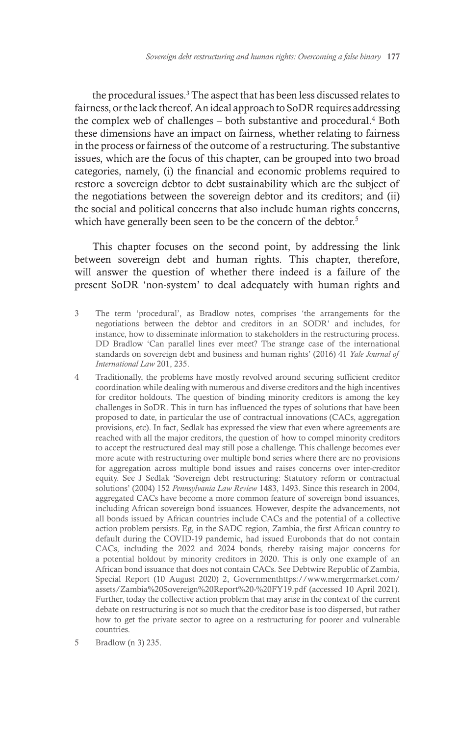the procedural issues.<sup>3</sup> The aspect that has been less discussed relates to fairness, or the lack thereof. An ideal approach to SoDR requires addressing the complex web of challenges – both substantive and procedural.<sup>4</sup> Both these dimensions have an impact on fairness, whether relating to fairness in the process or fairness of the outcome of a restructuring. The substantive issues, which are the focus of this chapter, can be grouped into two broad categories, namely, (i) the financial and economic problems required to restore a sovereign debtor to debt sustainability which are the subject of the negotiations between the sovereign debtor and its creditors; and (ii) the social and political concerns that also include human rights concerns, which have generally been seen to be the concern of the debtor.<sup>5</sup>

This chapter focuses on the second point, by addressing the link between sovereign debt and human rights. This chapter, therefore, will answer the question of whether there indeed is a failure of the present SoDR 'non-system' to deal adequately with human rights and

- 3 The term 'procedural', as Bradlow notes, comprises 'the arrangements for the negotiations between the debtor and creditors in an SODR' and includes, for instance, how to disseminate information to stakeholders in the restructuring process. DD Bradlow 'Can parallel lines ever meet? The strange case of the international standards on sovereign debt and business and human rights' (2016) 41 *Yale Journal of International Law* 201, 235.
- 4 Traditionally, the problems have mostly revolved around securing sufficient creditor coordination while dealing with numerous and diverse creditors and the high incentives for creditor holdouts. The question of binding minority creditors is among the key challenges in SoDR. This in turn has influenced the types of solutions that have been proposed to date, in particular the use of contractual innovations (CACs, aggregation provisions, etc). In fact, Sedlak has expressed the view that even where agreements are reached with all the major creditors, the question of how to compel minority creditors to accept the restructured deal may still pose a challenge. This challenge becomes ever more acute with restructuring over multiple bond series where there are no provisions for aggregation across multiple bond issues and raises concerns over inter-creditor equity. See J Sedlak 'Sovereign debt restructuring: Statutory reform or contractual solutions' (2004) 152 *Pennsylvania Law Review* 1483, 1493. Since this research in 2004, aggregated CACs have become a more common feature of sovereign bond issuances, including African sovereign bond issuances. However, despite the advancements, not all bonds issued by African countries include CACs and the potential of a collective action problem persists. Eg, in the SADC region, Zambia, the first African country to default during the COVID-19 pandemic, had issued Eurobonds that do not contain CACs, including the 2022 and 2024 bonds, thereby raising major concerns for a potential holdout by minority creditors in 2020. This is only one example of an African bond issuance that does not contain CACs. See Debtwire Republic of Zambia, Special Report (10 August 2020) 2, Governmenthttps://www.mergermarket.com/ assets/Zambia%20Sovereign%20Report%20-%20FY19.pdf (accessed 10 April 2021). Further, today the collective action problem that may arise in the context of the current debate on restructuring is not so much that the creditor base is too dispersed, but rather how to get the private sector to agree on a restructuring for poorer and vulnerable countries.

5 Bradlow (n 3) 235.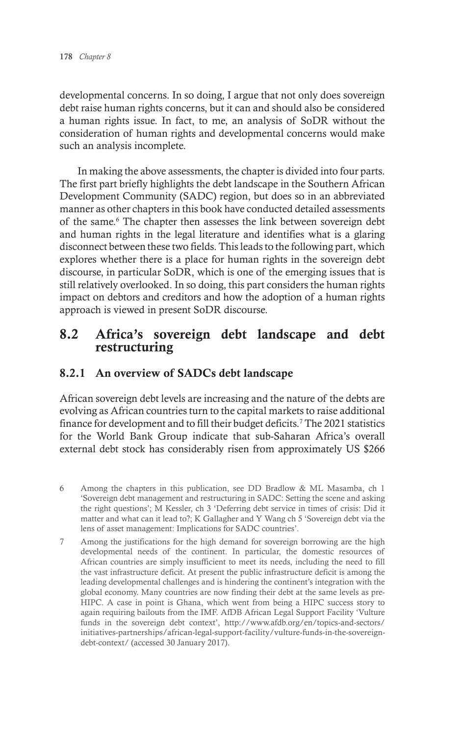developmental concerns. In so doing, I argue that not only does sovereign debt raise human rights concerns, but it can and should also be considered a human rights issue. In fact, to me, an analysis of SoDR without the consideration of human rights and developmental concerns would make such an analysis incomplete.

In making the above assessments, the chapter is divided into four parts. The first part briefly highlights the debt landscape in the Southern African Development Community (SADC) region, but does so in an abbreviated manner as other chapters in this book have conducted detailed assessments of the same.<sup>6</sup> The chapter then assesses the link between sovereign debt and human rights in the legal literature and identifies what is a glaring disconnect between these two fields. This leads to the following part, which explores whether there is a place for human rights in the sovereign debt discourse, in particular SoDR, which is one of the emerging issues that is still relatively overlooked. In so doing, this part considers the human rights impact on debtors and creditors and how the adoption of a human rights approach is viewed in present SoDR discourse.

# 8.2 Africa's sovereign debt landscape and debt restructuring

#### 8.2.1 An overview of SADCs debt landscape

African sovereign debt levels are increasing and the nature of the debts are evolving as African countries turn to the capital markets to raise additional finance for development and to fill their budget deficits.7 The 2021 statistics for the World Bank Group indicate that sub-Saharan Africa's overall external debt stock has considerably risen from approximately US \$266

- 6 Among the chapters in this publication, see DD Bradlow & ML Masamba, ch 1 'Sovereign debt management and restructuring in SADC: Setting the scene and asking the right questions'; M Kessler, ch 3 'Deferring debt service in times of crisis: Did it matter and what can it lead to?; K Gallagher and Y Wang ch 5 'Sovereign debt via the lens of asset management: Implications for SADC countries'.
- 7 Among the justifications for the high demand for sovereign borrowing are the high developmental needs of the continent. In particular, the domestic resources of African countries are simply insufficient to meet its needs, including the need to fill the vast infrastructure deficit. At present the public infrastructure deficit is among the leading developmental challenges and is hindering the continent's integration with the global economy. Many countries are now finding their debt at the same levels as pre-HIPC. A case in point is Ghana, which went from being a HIPC success story to again requiring bailouts from the IMF. AfDB African Legal Support Facility 'Vulture funds in the sovereign debt context', http://www.afdb.org/en/topics-and-sectors/ initiatives-partnerships/african-legal-support-facility/vulture-funds-in-the-sovereigndebt-context/ (accessed 30 January 2017).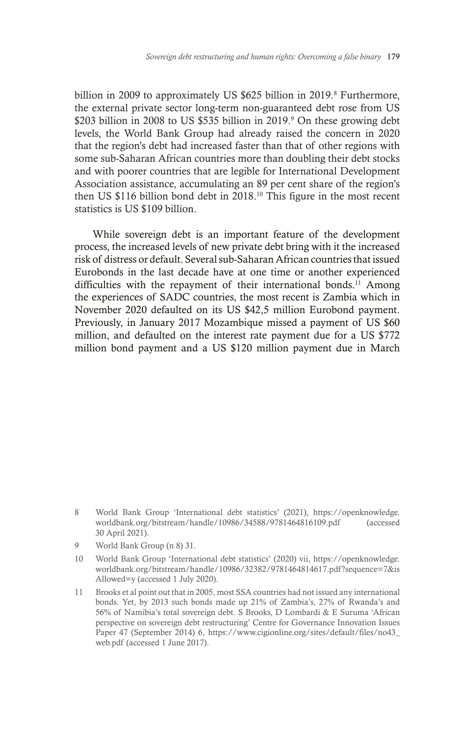billion in 2009 to approximately US \$625 billion in 2019.<sup>8</sup> Furthermore, the external private sector long-term non-guaranteed debt rose from US \$203 billion in 2008 to US \$535 billion in 2019.<sup>9</sup> On these growing debt levels, the World Bank Group had already raised the concern in 2020 that the region's debt had increased faster than that of other regions with some sub-Saharan African countries more than doubling their debt stocks and with poorer countries that are legible for International Development Association assistance, accumulating an 89 per cent share of the region's then US \$116 billion bond debt in 2018.10 This figure in the most recent statistics is US \$109 billion.

While sovereign debt is an important feature of the development process, the increased levels of new private debt bring with it the increased risk of distress or default. Several sub-Saharan African countries that issued Eurobonds in the last decade have at one time or another experienced difficulties with the repayment of their international bonds.<sup>11</sup> Among the experiences of SADC countries, the most recent is Zambia which in November 2020 defaulted on its US \$42,5 million Eurobond payment. Previously, in January 2017 Mozambique missed a payment of US \$60 million, and defaulted on the interest rate payment due for a US \$772 million bond payment and a US \$120 million payment due in March

- 9 World Bank Group (n 8) 31.
- 10 World Bank Group 'International debt statistics' (2020) vii, https://openknowledge. worldbank.org/bitstream/handle/10986/32382/9781464814617.pdf?sequence=7&is Allowed=y (accessed 1 July 2020).
- 11 Brooks et al point out that in 2005, most SSA countries had not issued any international bonds. Yet, by 2013 such bonds made up 21% of Zambia's, 27% of Rwanda's and 56% of Namibia's total sovereign debt. S Brooks, D Lombardi & E Suruma 'African perspective on sovereign debt restructuring' Centre for Governance Innovation Issues Paper 47 (September 2014) 6, https://www.cigionline.org/sites/default/files/no43\_ web.pdf (accessed 1 June 2017).

<sup>8</sup> World Bank Group 'International debt statistics' (2021), https://openknowledge. worldbank.org/bitstream/handle/10986/34588/9781464816109.pdf (accessed 30 April 2021).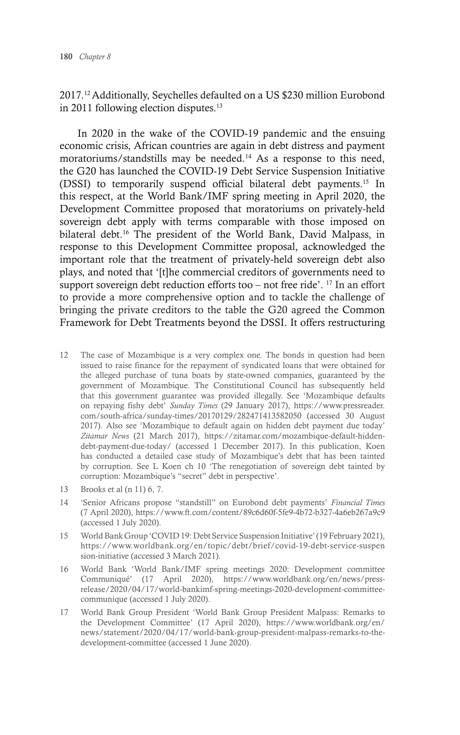#### 2017.12 Additionally, Seychelles defaulted on a US \$230 million Eurobond in 2011 following election disputes.<sup>13</sup>

In 2020 in the wake of the COVID-19 pandemic and the ensuing economic crisis, African countries are again in debt distress and payment moratoriums/standstills may be needed.<sup>14</sup> As a response to this need, the G20 has launched the COVID-19 Debt Service Suspension Initiative (DSSI) to temporarily suspend official bilateral debt payments.15 In this respect, at the World Bank/IMF spring meeting in April 2020, the Development Committee proposed that moratoriums on privately-held sovereign debt apply with terms comparable with those imposed on bilateral debt.<sup>16</sup> The president of the World Bank, David Malpass, in response to this Development Committee proposal, acknowledged the important role that the treatment of privately-held sovereign debt also plays, and noted that '[t]he commercial creditors of governments need to support sovereign debt reduction efforts too – not free ride'.  $^{17}$  In an effort to provide a more comprehensive option and to tackle the challenge of bringing the private creditors to the table the G20 agreed the Common Framework for Debt Treatments beyond the DSSI. It offers restructuring

- 12 The case of Mozambique is a very complex one. The bonds in question had been issued to raise finance for the repayment of syndicated loans that were obtained for the alleged purchase of tuna boats by state-owned companies, guaranteed by the government of Mozambique. The Constitutional Council has subsequently held that this government guarantee was provided illegally. See 'Mozambique defaults on repaying fishy debt' *Sunday Times* (29 January 2017), https://www.pressreader. com/south-africa/sunday-times/20170129/282471413582050 (accessed 30 August 2017). Also see 'Mozambique to default again on hidden debt payment due today' *Zitamar News* (21 March 2017), https://zitamar.com/mozambique-default-hiddendebt-payment-due-today/ (accessed 1 December 2017). In this publication, Koen has conducted a detailed case study of Mozambique's debt that has been tainted by corruption. See L Koen ch 10 'The renegotiation of sovereign debt tainted by corruption: Mozambique's "secret" debt in perspective'.
- 13 Brooks et al (n 11) 6, 7.
- 14 'Senior Africans propose "standstill" on Eurobond debt payments' *Financial Times* (7 April 2020), https://www.ft.com/content/89c6d60f-5fe9-4b72-b327-4a6eb267a9c9 (accessed 1 July 2020).
- 15 World Bank Group 'COVID 19: Debt Service Suspension Initiative' (19 February 2021), https://www.worldbank.org/en/topic/debt/brief/covid-19-debt-service-suspen sion-initiative (accessed 3 March 2021).
- 16 World Bank 'World Bank/IMF spring meetings 2020: Development committee Communiqué' (17 April 2020), https://www.worldbank.org/en/news/pressrelease/2020/04/17/world-bankimf-spring-meetings-2020-development-committeecommunique (accessed 1 July 2020).
- 17 World Bank Group President 'World Bank Group President Malpass: Remarks to the Development Committee' (17 April 2020), https://www.worldbank.org/en/ news/statement/2020/04/17/world-bank-group-president-malpass-remarks-to-thedevelopment-committee (accessed 1 June 2020).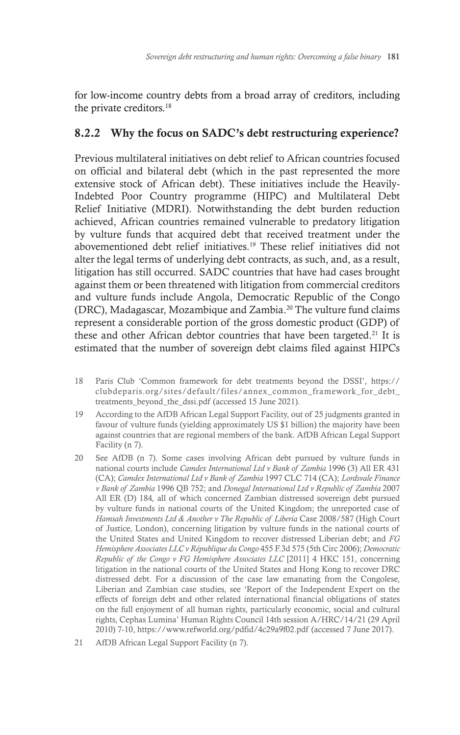for low-income country debts from a broad array of creditors, including the private creditors.<sup>18</sup>

#### 8.2.2 Why the focus on SADC's debt restructuring experience?

Previous multilateral initiatives on debt relief to African countries focused on official and bilateral debt (which in the past represented the more extensive stock of African debt). These initiatives include the Heavily-Indebted Poor Country programme (HIPC) and Multilateral Debt Relief Initiative (MDRI). Notwithstanding the debt burden reduction achieved, African countries remained vulnerable to predatory litigation by vulture funds that acquired debt that received treatment under the abovementioned debt relief initiatives.19 These relief initiatives did not alter the legal terms of underlying debt contracts, as such, and, as a result, litigation has still occurred. SADC countries that have had cases brought against them or been threatened with litigation from commercial creditors and vulture funds include Angola, Democratic Republic of the Congo (DRC), Madagascar, Mozambique and Zambia.20 The vulture fund claims represent a considerable portion of the gross domestic product (GDP) of these and other African debtor countries that have been targeted.<sup>21</sup> It is estimated that the number of sovereign debt claims filed against HIPCs

- 18 Paris Club 'Common framework for debt treatments beyond the DSSI', https:// clubdeparis.org/sites/default/files/annex\_common\_framework\_for\_debt\_ treatments\_beyond\_the\_dssi.pdf (accessed 15 June 2021).
- 19 According to the AfDB African Legal Support Facility, out of 25 judgments granted in favour of vulture funds (yielding approximately US \$1 billion) the majority have been against countries that are regional members of the bank. AfDB African Legal Support Facility (n 7).
- 20 See AfDB (n 7). Some cases involving African debt pursued by vulture funds in national courts include *Camdex International Ltd v Bank of Zambia* 1996 (3) All ER 431 (CA); *Camdex International Ltd v Bank of Zambia* 1997 CLC 714 (CA); *Lordsvale Finance v Bank of Zambia* 1996 QB 752; and *Donegal International Ltd v Republic of Zambia* 2007 All ER (D) 184*,* all of which concerned Zambian distressed sovereign debt pursued by vulture funds in national courts of the United Kingdom; the unreported case of *Hamsah Investments Ltd & Another v The Republic of Liberia* Case 2008/587 (High Court of Justice, London), concerning litigation by vulture funds in the national courts of the United States and United Kingdom to recover distressed Liberian debt; and *FG Hemisphere Associates LLC v République du Congo* 455 F.3d 575 (5th Circ 2006); *Democratic Republic of the Congo v FG Hemisphere Associates LLC* [2011] 4 HKC 151, concerning litigation in the national courts of the United States and Hong Kong to recover DRC distressed debt. For a discussion of the case law emanating from the Congolese, Liberian and Zambian case studies, see 'Report of the Independent Expert on the effects of foreign debt and other related international financial obligations of states on the full enjoyment of all human rights, particularly economic, social and cultural rights, Cephas Lumina' Human Rights Council 14th session A/HRC/14/21 (29 April 2010) 7-10, https://www.refworld.org/pdfid/4c29a9f02.pdf (accessed 7 June 2017).
- 21 AfDB African Legal Support Facility (n 7).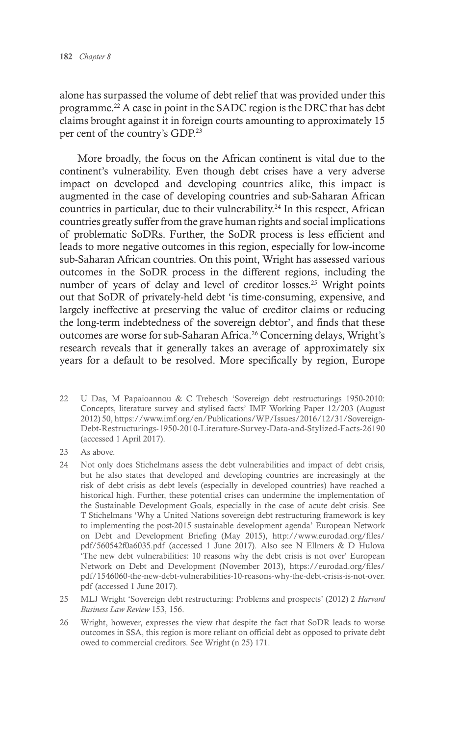alone has surpassed the volume of debt relief that was provided under this programme.22 A case in point in the SADC region is the DRC that has debt claims brought against it in foreign courts amounting to approximately 15 per cent of the country's GDP.23

More broadly, the focus on the African continent is vital due to the continent's vulnerability. Even though debt crises have a very adverse impact on developed and developing countries alike, this impact is augmented in the case of developing countries and sub-Saharan African countries in particular, due to their vulnerability.<sup>24</sup> In this respect, African countries greatly suffer from the grave human rights and social implications of problematic SoDRs. Further, the SoDR process is less efficient and leads to more negative outcomes in this region, especially for low-income sub-Saharan African countries. On this point, Wright has assessed various outcomes in the SoDR process in the different regions, including the number of years of delay and level of creditor losses.<sup>25</sup> Wright points out that SoDR of privately-held debt 'is time-consuming, expensive, and largely ineffective at preserving the value of creditor claims or reducing the long-term indebtedness of the sovereign debtor', and finds that these outcomes are worse for sub-Saharan Africa.<sup>26</sup> Concerning delays, Wright's research reveals that it generally takes an average of approximately six years for a default to be resolved. More specifically by region, Europe

22 U Das, M Papaioannou & C Trebesch 'Sovereign debt restructurings 1950-2010: Concepts, literature survey and stylised facts' IMF Working Paper 12/203 (August 2012) 50, https://www.imf.org/en/Publications/WP/Issues/2016/12/31/Sovereign-Debt-Restructurings-1950-2010-Literature-Survey-Data-and-Stylized-Facts-26190 (accessed 1 April 2017).

- 25 MLJ Wright 'Sovereign debt restructuring: Problems and prospects' (2012) 2 *Harvard Business Law Review* 153, 156.
- 26 Wright, however, expresses the view that despite the fact that SoDR leads to worse outcomes in SSA, this region is more reliant on official debt as opposed to private debt owed to commercial creditors. See Wright (n 25) 171.

<sup>23</sup> As above.

<sup>24</sup> Not only does Stichelmans assess the debt vulnerabilities and impact of debt crisis, but he also states that developed and developing countries are increasingly at the risk of debt crisis as debt levels (especially in developed countries) have reached a historical high. Further, these potential crises can undermine the implementation of the Sustainable Development Goals, especially in the case of acute debt crisis. See T Stichelmans 'Why a United Nations sovereign debt restructuring framework is key to implementing the post-2015 sustainable development agenda' European Network on Debt and Development Briefing (May 2015), http://www.eurodad.org/files/ pdf/560542f0a6035.pdf (accessed 1 June 2017). Also see N Ellmers & D Hulova 'The new debt vulnerabilities: 10 reasons why the debt crisis is not over' European Network on Debt and Development (November 2013), https://eurodad.org/files/ pdf/1546060-the-new-debt-vulnerabilities-10-reasons-why-the-debt-crisis-is-not-over. pdf (accessed 1 June 2017).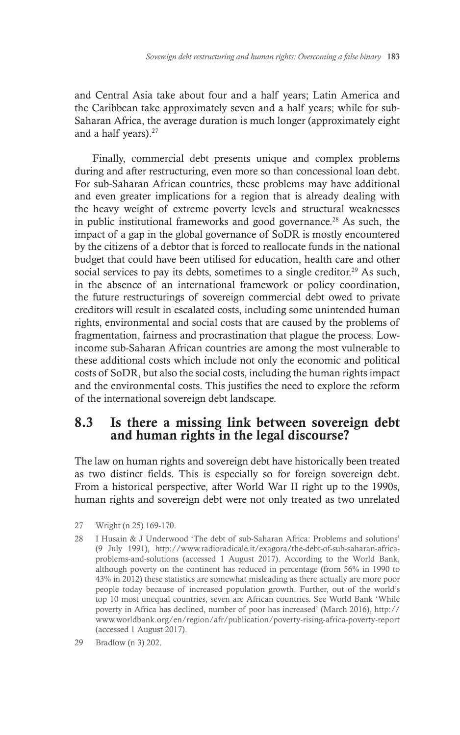and Central Asia take about four and a half years; Latin America and the Caribbean take approximately seven and a half years; while for sub-Saharan Africa, the average duration is much longer (approximately eight and a half years). $27$ 

Finally, commercial debt presents unique and complex problems during and after restructuring, even more so than concessional loan debt. For sub-Saharan African countries, these problems may have additional and even greater implications for a region that is already dealing with the heavy weight of extreme poverty levels and structural weaknesses in public institutional frameworks and good governance.<sup>28</sup> As such, the impact of a gap in the global governance of SoDR is mostly encountered by the citizens of a debtor that is forced to reallocate funds in the national budget that could have been utilised for education, health care and other social services to pay its debts, sometimes to a single creditor.<sup>29</sup> As such, in the absence of an international framework or policy coordination, the future restructurings of sovereign commercial debt owed to private creditors will result in escalated costs, including some unintended human rights, environmental and social costs that are caused by the problems of fragmentation, fairness and procrastination that plague the process. Lowincome sub-Saharan African countries are among the most vulnerable to these additional costs which include not only the economic and political costs of SoDR, but also the social costs, including the human rights impact and the environmental costs. This justifies the need to explore the reform of the international sovereign debt landscape.

## 8.3 Is there a missing link between sovereign debt and human rights in the legal discourse?

The law on human rights and sovereign debt have historically been treated as two distinct fields. This is especially so for foreign sovereign debt. From a historical perspective, after World War II right up to the 1990s, human rights and sovereign debt were not only treated as two unrelated

<sup>27</sup> Wright (n 25) 169-170.

<sup>28</sup> I Husain & J Underwood 'The debt of sub-Saharan Africa: Problems and solutions' (9 July 1991), http://www.radioradicale.it/exagora/the-debt-of-sub-saharan-africaproblems-and-solutions (accessed 1 August 2017). According to the World Bank, although poverty on the continent has reduced in percentage (from 56% in 1990 to 43% in 2012) these statistics are somewhat misleading as there actually are more poor people today because of increased population growth. Further, out of the world's top 10 most unequal countries, seven are African countries. See World Bank 'While poverty in Africa has declined, number of poor has increased' (March 2016), http:// www.worldbank.org/en/region/afr/publication/poverty-rising-africa-poverty-report (accessed 1 August 2017).

<sup>29</sup> Bradlow (n 3) 202.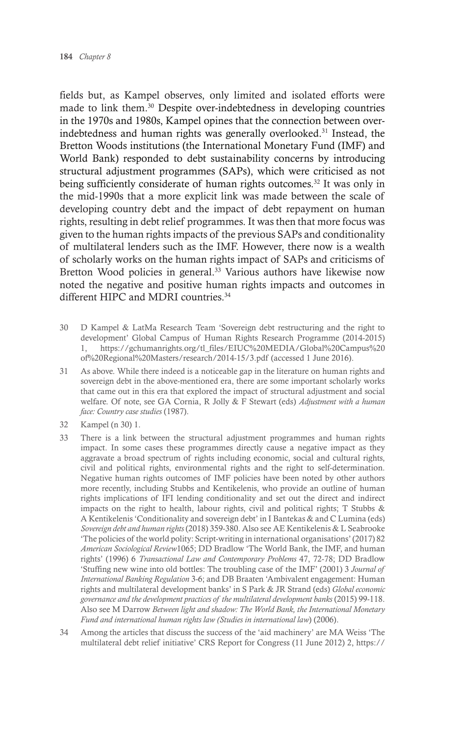fields but, as Kampel observes, only limited and isolated efforts were made to link them.30 Despite over-indebtedness in developing countries in the 1970s and 1980s, Kampel opines that the connection between overindebtedness and human rights was generally overlooked.31 Instead, the Bretton Woods institutions (the International Monetary Fund (IMF) and World Bank) responded to debt sustainability concerns by introducing structural adjustment programmes (SAPs), which were criticised as not being sufficiently considerate of human rights outcomes.32 It was only in the mid-1990s that a more explicit link was made between the scale of developing country debt and the impact of debt repayment on human rights, resulting in debt relief programmes. It was then that more focus was given to the human rights impacts of the previous SAPs and conditionality of multilateral lenders such as the IMF. However, there now is a wealth of scholarly works on the human rights impact of SAPs and criticisms of Bretton Wood policies in general.<sup>33</sup> Various authors have likewise now noted the negative and positive human rights impacts and outcomes in different HIPC and MDRI countries.<sup>34</sup>

- 30 D Kampel & LatMa Research Team 'Sovereign debt restructuring and the right to development' Global Campus of Human Rights Research Programme (2014-2015) 1, https://gchumanrights.org/tl\_files/EIUC%20MEDIA/Global%20Campus%20 of%20Regional%20Masters/research/2014-15/3.pdf (accessed 1 June 2016).
- 31 As above. While there indeed is a noticeable gap in the literature on human rights and sovereign debt in the above-mentioned era, there are some important scholarly works that came out in this era that explored the impact of structural adjustment and social welfare. Of note, see GA Cornia, R Jolly & F Stewart (eds) *Adjustment with a human face: Country case studies* (1987).
- 32 Kampel (n 30) 1.
- 33 There is a link between the structural adjustment programmes and human rights impact. In some cases these programmes directly cause a negative impact as they aggravate a broad spectrum of rights including economic, social and cultural rights, civil and political rights, environmental rights and the right to self-determination. Negative human rights outcomes of IMF policies have been noted by other authors more recently, including Stubbs and Kentikelenis, who provide an outline of human rights implications of IFI lending conditionality and set out the direct and indirect impacts on the right to health, labour rights, civil and political rights; T Stubbs & A Kentikelenis 'Conditionality and sovereign debt' in I Bantekas & and C Lumina (eds) *Sovereign debt and human rights* (2018) 359-380. Also see AE Kentikelenis & L Seabrooke 'The policies of the world polity: Script-writing in international organisations' (2017) 82 *American Sociological Review*1065; DD Bradlow 'The World Bank, the IMF, and human rights' (1996) 6 *Transactional Law and Contemporary Problems* 47, 72-78; DD Bradlow 'Stuffing new wine into old bottles: The troubling case of the IMF' (2001) 3 *Journal of International Banking Regulation* 3-6; and DB Braaten 'Ambivalent engagement: Human rights and multilateral development banks' in S Park & JR Strand (eds) *Global economic governance and the development practices of the multilateral development banks* (2015) 99-118. Also see M Darrow *Between light and shadow: The World Bank, the International Monetary Fund and international human rights law (Studies in international law*) (2006).
- 34 Among the articles that discuss the success of the 'aid machinery' are MA Weiss 'The multilateral debt relief initiative' CRS Report for Congress (11 June 2012) 2, https://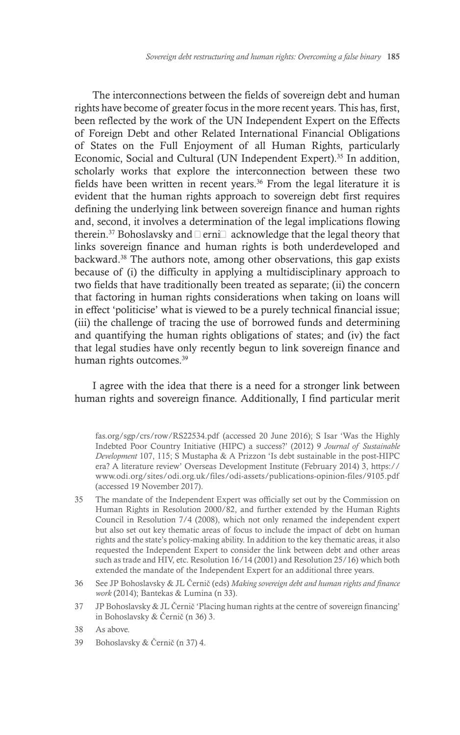The interconnections between the fields of sovereign debt and human rights have become of greater focus in the more recent years. This has, first, been reflected by the work of the UN Independent Expert on the Effects of Foreign Debt and other Related International Financial Obligations of States on the Full Enjoyment of all Human Rights, particularly Economic, Social and Cultural (UN Independent Expert).<sup>35</sup> In addition, scholarly works that explore the interconnection between these two fields have been written in recent years.<sup>36</sup> From the legal literature it is evident that the human rights approach to sovereign debt first requires defining the underlying link between sovereign finance and human rights and, second, it involves a determination of the legal implications flowing therein.<sup>37</sup> Bohoslavsky and  $\Box$  erni $\Box$  acknowledge that the legal theory that links sovereign finance and human rights is both underdeveloped and backward.38 The authors note, among other observations, this gap exists because of (i) the difficulty in applying a multidisciplinary approach to two fields that have traditionally been treated as separate; (ii) the concern that factoring in human rights considerations when taking on loans will in effect 'politicise' what is viewed to be a purely technical financial issue; (iii) the challenge of tracing the use of borrowed funds and determining and quantifying the human rights obligations of states; and (iv) the fact that legal studies have only recently begun to link sovereign finance and human rights outcomes.<sup>39</sup>

I agree with the idea that there is a need for a stronger link between human rights and sovereign finance. Additionally, I find particular merit

fas.org/sgp/crs/row/RS22534.pdf (accessed 20 June 2016); S Isar 'Was the Highly Indebted Poor Country Initiative (HIPC) a success?' (2012) 9 *Journal of Sustainable Development* 107, 115; S Mustapha & A Prizzon 'Is debt sustainable in the post-HIPC era? A literature review' Overseas Development Institute (February 2014) 3, https:// www.odi.org/sites/odi.org.uk/files/odi-assets/publications-opinion-files/9105.pdf (accessed 19 November 2017).

- 35 The mandate of the Independent Expert was officially set out by the Commission on Human Rights in Resolution 2000/82, and further extended by the Human Rights Council in Resolution 7/4 (2008), which not only renamed the independent expert but also set out key thematic areas of focus to include the impact of debt on human rights and the state's policy-making ability. In addition to the key thematic areas, it also requested the Independent Expert to consider the link between debt and other areas such as trade and HIV, etc. Resolution 16/14 (2001) and Resolution 25/16) which both extended the mandate of the Independent Expert for an additional three years.
- 36 See JP Bohoslavsky & JL Černič (eds) *Making sovereign debt and human rights and finance work* (2014); Bantekas & Lumina (n 33).
- 37 JP Bohoslavsky & JL Černič 'Placing human rights at the centre of sovereign financing' in Bohoslavsky & Černič (n 36) 3.
- 38 As above.
- 39 Bohoslavsky & Černič (n 37) 4.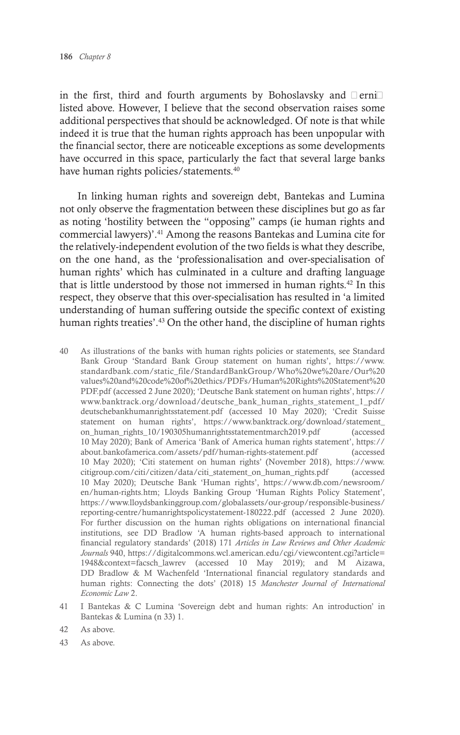in the first, third and fourth arguments by Bohoslavsky and  $\Box$  erni $\Box$ listed above. However, I believe that the second observation raises some additional perspectives that should be acknowledged. Of note is that while indeed it is true that the human rights approach has been unpopular with the financial sector, there are noticeable exceptions as some developments have occurred in this space, particularly the fact that several large banks have human rights policies/statements.<sup>40</sup>

In linking human rights and sovereign debt, Bantekas and Lumina not only observe the fragmentation between these disciplines but go as far as noting 'hostility between the "opposing" camps (ie human rights and commercial lawyers)'.41 Among the reasons Bantekas and Lumina cite for the relatively-independent evolution of the two fields is what they describe, on the one hand, as the 'professionalisation and over-specialisation of human rights' which has culminated in a culture and drafting language that is little understood by those not immersed in human rights.<sup>42</sup> In this respect, they observe that this over-specialisation has resulted in 'a limited understanding of human suffering outside the specific context of existing human rights treaties'.<sup>43</sup> On the other hand, the discipline of human rights

- 40 As illustrations of the banks with human rights policies or statements, see Standard Bank Group 'Standard Bank Group statement on human rights', https://www. standardbank.com/static\_file/StandardBankGroup/Who%20we%20are/Our%20 values%20and%20code%20of%20ethics/PDFs/Human%20Rights%20Statement%20 PDF.pdf (accessed 2 June 2020); 'Deutsche Bank statement on human rights', https:// www.banktrack.org/download/deutsche\_bank\_human\_rights\_statement\_1\_pdf/ deutschebankhumanrightsstatement.pdf (accessed 10 May 2020); 'Credit Suisse statement on human rights', https://www.banktrack.org/download/statement\_ on\_human\_rights\_10/190305humanrightsstatementmarch2019.pdf (accessed 10 May 2020); Bank of America 'Bank of America human rights statement', https:// about.bankofamerica.com/assets/pdf/human-rights-statement.pdf (accessed 10 May 2020); 'Citi statement on human rights' (November 2018), https://www. citigroup.com/citi/citizen/data/citi\_statement\_on\_human\_rights.pdf (accessed 10 May 2020); Deutsche Bank 'Human rights', https://www.db.com/newsroom/ en/human-rights.htm; Lloyds Banking Group 'Human Rights Policy Statement', https://www.lloydsbankinggroup.com/globalassets/our-group/responsible-business/ reporting-centre/humanrightspolicystatement-180222.pdf (accessed 2 June 2020). For further discussion on the human rights obligations on international financial institutions, see DD Bradlow 'A human rights-based approach to international financial regulatory standards' (2018) 171 *Articles in Law Reviews and Other Academic Journals* 940, https://digitalcommons.wcl.american.edu/cgi/viewcontent.cgi?article= 1948&context=facsch\_lawrev (accessed 10 May 2019); and M Aizawa, DD Bradlow & M Wachenfeld 'International financial regulatory standards and human rights: Connecting the dots' (2018) 15 *Manchester Journal of International Economic Law* 2.
- 41 I Bantekas & C Lumina 'Sovereign debt and human rights: An introduction' in Bantekas & Lumina (n 33) 1.
- 42 As above.
- 43 As above.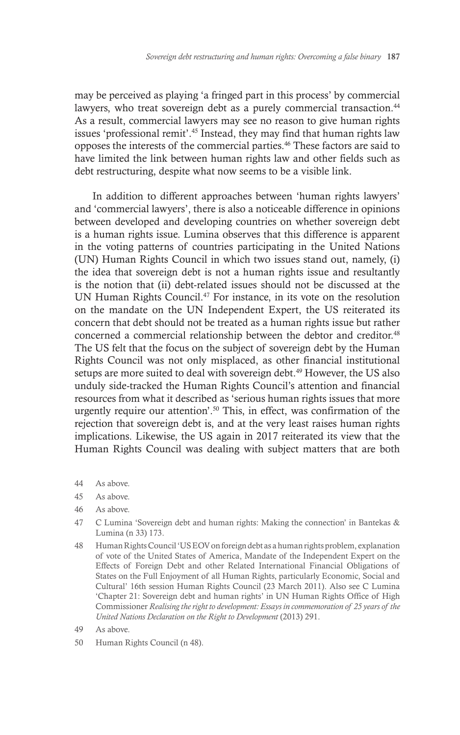may be perceived as playing 'a fringed part in this process' by commercial lawyers, who treat sovereign debt as a purely commercial transaction.<sup>44</sup> As a result, commercial lawyers may see no reason to give human rights issues 'professional remit'.45 Instead, they may find that human rights law opposes the interests of the commercial parties.46 These factors are said to have limited the link between human rights law and other fields such as debt restructuring, despite what now seems to be a visible link.

In addition to different approaches between 'human rights lawyers' and 'commercial lawyers', there is also a noticeable difference in opinions between developed and developing countries on whether sovereign debt is a human rights issue. Lumina observes that this difference is apparent in the voting patterns of countries participating in the United Nations (UN) Human Rights Council in which two issues stand out, namely, (i) the idea that sovereign debt is not a human rights issue and resultantly is the notion that (ii) debt-related issues should not be discussed at the UN Human Rights Council.47 For instance, in its vote on the resolution on the mandate on the UN Independent Expert, the US reiterated its concern that debt should not be treated as a human rights issue but rather concerned a commercial relationship between the debtor and creditor.<sup>48</sup> The US felt that the focus on the subject of sovereign debt by the Human Rights Council was not only misplaced, as other financial institutional setups are more suited to deal with sovereign debt.<sup>49</sup> However, the US also unduly side-tracked the Human Rights Council's attention and financial resources from what it described as 'serious human rights issues that more urgently require our attention'.<sup>50</sup> This, in effect, was confirmation of the rejection that sovereign debt is, and at the very least raises human rights implications. Likewise, the US again in 2017 reiterated its view that the Human Rights Council was dealing with subject matters that are both

- 44 As above.
- 45 As above.
- 46 As above.
- 47 C Lumina 'Sovereign debt and human rights: Making the connection' in Bantekas & Lumina (n 33) 173.
- 48 Human Rights Council 'US EOV on foreign debt as a human rights problem, explanation of vote of the United States of America, Mandate of the Independent Expert on the Effects of Foreign Debt and other Related International Financial Obligations of States on the Full Enjoyment of all Human Rights, particularly Economic, Social and Cultural' 16th session Human Rights Council (23 March 2011). Also see C Lumina 'Chapter 21: Sovereign debt and human rights' in UN Human Rights Office of High Commissioner *Realising the right to development: Essays in commemoration of 25 years of the United Nations Declaration on the Right to Development* (2013) 291.
- 49 As above.
- 50 Human Rights Council (n 48).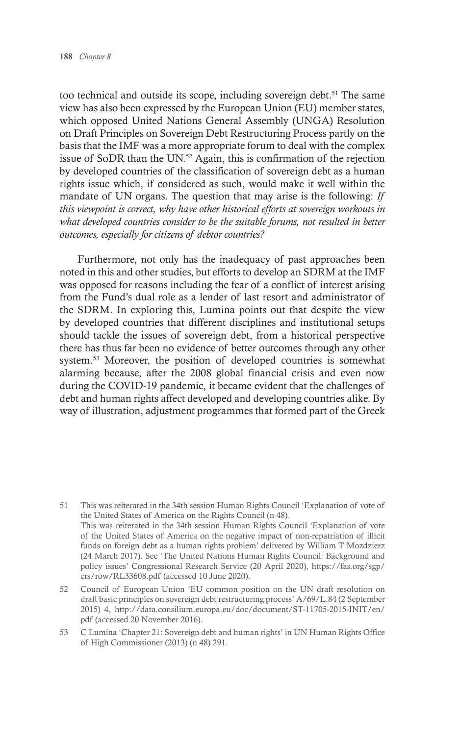too technical and outside its scope, including sovereign debt.<sup>51</sup> The same view has also been expressed by the European Union (EU) member states, which opposed United Nations General Assembly (UNGA) Resolution on Draft Principles on Sovereign Debt Restructuring Process partly on the basis that the IMF was a more appropriate forum to deal with the complex issue of SoDR than the UN. $52$  Again, this is confirmation of the rejection by developed countries of the classification of sovereign debt as a human rights issue which, if considered as such, would make it well within the mandate of UN organs. The question that may arise is the following: *If this viewpoint is correct, why have other historical efforts at sovereign workouts in*  what developed countries consider to be the suitable forums, not resulted in better *outcomes, especially for citizens of debtor countries?*

Furthermore, not only has the inadequacy of past approaches been noted in this and other studies, but efforts to develop an SDRM at the IMF was opposed for reasons including the fear of a conflict of interest arising from the Fund's dual role as a lender of last resort and administrator of the SDRM. In exploring this, Lumina points out that despite the view by developed countries that different disciplines and institutional setups should tackle the issues of sovereign debt, from a historical perspective there has thus far been no evidence of better outcomes through any other system.53 Moreover, the position of developed countries is somewhat alarming because, after the 2008 global financial crisis and even now during the COVID-19 pandemic, it became evident that the challenges of debt and human rights affect developed and developing countries alike. By way of illustration, adjustment programmes that formed part of the Greek

51 This was reiterated in the 34th session Human Rights Council 'Explanation of vote of the United States of America on the Rights Council (n 48). This was reiterated in the 34th session Human Rights Council 'Explanation of vote of the United States of America on the negative impact of non-repatriation of illicit funds on foreign debt as a human rights problem' delivered by William T Mozdzierz (24 March 2017). See 'The United Nations Human Rights Council: Background and policy issues' Congressional Research Service (20 April 2020), https://fas.org/sgp/ crs/row/RL33608.pdf (accessed 10 June 2020).

52 Council of European Union 'EU common position on the UN draft resolution on draft basic principles on sovereign debt restructuring process' A/69/L.84 (2 September 2015) 4, http://data.consilium.europa.eu/doc/document/ST-11705-2015-INIT/en/ pdf (accessed 20 November 2016).

53 C Lumina 'Chapter 21: Sovereign debt and human rights' in UN Human Rights Office of High Commissioner (2013) (n 48) 291.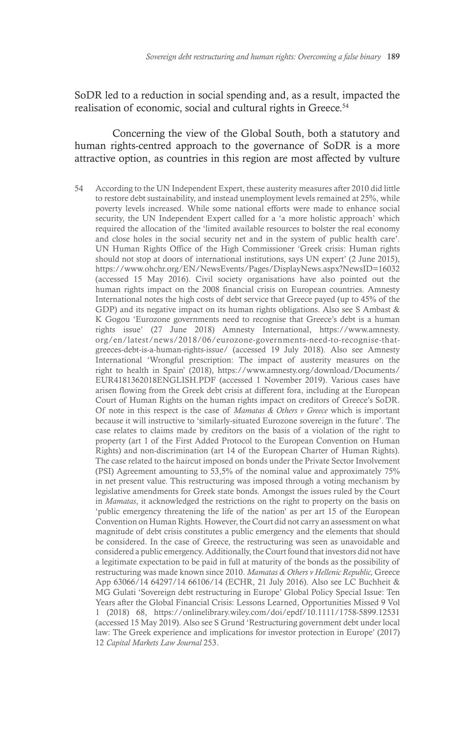SoDR led to a reduction in social spending and, as a result, impacted the realisation of economic, social and cultural rights in Greece.<sup>54</sup>

#### Concerning the view of the Global South, both a statutory and human rights-centred approach to the governance of SoDR is a more attractive option, as countries in this region are most affected by vulture

54 According to the UN Independent Expert, these austerity measures after 2010 did little to restore debt sustainability, and instead unemployment levels remained at 25%, while poverty levels increased. While some national efforts were made to enhance social security, the UN Independent Expert called for a 'a more holistic approach' which required the allocation of the 'limited available resources to bolster the real economy and close holes in the social security net and in the system of public health care'. UN Human Rights Office of the High Commissioner 'Greek crisis: Human rights should not stop at doors of international institutions, says UN expert' (2 June 2015), https://www.ohchr.org/EN/NewsEvents/Pages/DisplayNews.aspx?NewsID=16032 (accessed 15 May 2016). Civil society organisations have also pointed out the human rights impact on the 2008 financial crisis on European countries. Amnesty International notes the high costs of debt service that Greece payed (up to 45% of the GDP) and its negative impact on its human rights obligations. Also see S Ambast & K Gogou 'Eurozone governments need to recognise that Greece's debt is a human rights issue' (27 June 2018) Amnesty International, https://www.amnesty. org/en/latest/news/2018/06/eurozone-governments-need-to-recognise-thatgreeces-debt-is-a-human-rights-issue/ (accessed 19 July 2018). Also see Amnesty International 'Wrongful prescription: The impact of austerity measures on the right to health in Spain' (2018), https://www.amnesty.org/download/Documents/ EUR4181362018ENGLISH.PDF (accessed 1 November 2019). Various cases have arisen flowing from the Greek debt crisis at different fora, including at the European Court of Human Rights on the human rights impact on creditors of Greece's SoDR. Of note in this respect is the case of *Mamatas & Others v Greece* which is important because it will instructive to 'similarly-situated Eurozone sovereign in the future'. The case relates to claims made by creditors on the basis of a violation of the right to property (art 1 of the First Added Protocol to the European Convention on Human Rights) and non-discrimination (art 14 of the European Charter of Human Rights). The case related to the haircut imposed on bonds under the Private Sector Involvement (PSI) Agreement amounting to 53,5% of the nominal value and approximately 75% in net present value. This restructuring was imposed through a voting mechanism by legislative amendments for Greek state bonds. Amongst the issues ruled by the Court in *Mamatas*, it acknowledged the restrictions on the right to property on the basis on 'public emergency threatening the life of the nation' as per art 15 of the European Convention on Human Rights. However, the Court did not carry an assessment on what magnitude of debt crisis constitutes a public emergency and the elements that should be considered. In the case of Greece, the restructuring was seen as unavoidable and considered a public emergency. Additionally, the Court found that investors did not have a legitimate expectation to be paid in full at maturity of the bonds as the possibility of restructuring was made known since 2010. *Mamatas & Others v Hellenic Republic,* Greece App 63066/14 64297/14 66106/14 (ECHR, 21 July 2016). Also see LC Buchheit & MG Gulati 'Sovereign debt restructuring in Europe' Global Policy Special Issue: Ten Years after the Global Financial Crisis: Lessons Learned, Opportunities Missed 9 Vol 1 (2018) 68, https://onlinelibrary.wiley.com/doi/epdf/10.1111/1758-5899.12531 (accessed 15 May 2019). Also see S Grund 'Restructuring government debt under local law: The Greek experience and implications for investor protection in Europe' (2017) 12 *Capital Markets Law Journal* 253.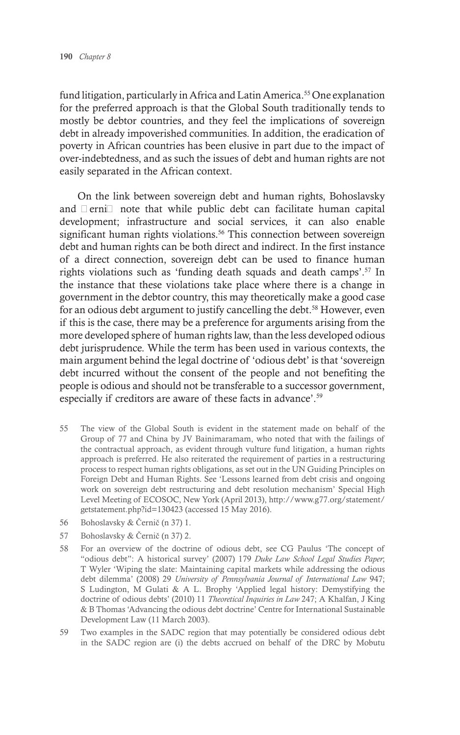fund litigation, particularly in Africa and Latin America.<sup>55</sup> One explanation for the preferred approach is that the Global South traditionally tends to mostly be debtor countries, and they feel the implications of sovereign debt in already impoverished communities. In addition, the eradication of poverty in African countries has been elusive in part due to the impact of over-indebtedness, and as such the issues of debt and human rights are not easily separated in the African context.

On the link between sovereign debt and human rights, Bohoslavsky and  $\Box$  erni $\Box$  note that while public debt can facilitate human capital development; infrastructure and social services, it can also enable significant human rights violations.<sup>56</sup> This connection between sovereign debt and human rights can be both direct and indirect. In the first instance of a direct connection, sovereign debt can be used to finance human rights violations such as 'funding death squads and death camps'.57 In the instance that these violations take place where there is a change in government in the debtor country, this may theoretically make a good case for an odious debt argument to justify cancelling the debt.<sup>58</sup> However, even if this is the case, there may be a preference for arguments arising from the more developed sphere of human rights law, than the less developed odious debt jurisprudence. While the term has been used in various contexts, the main argument behind the legal doctrine of 'odious debt' is that 'sovereign debt incurred without the consent of the people and not benefiting the people is odious and should not be transferable to a successor government, especially if creditors are aware of these facts in advance'.59

- 55 The view of the Global South is evident in the statement made on behalf of the Group of 77 and China by JV Bainimaramam, who noted that with the failings of the contractual approach, as evident through vulture fund litigation, a human rights approach is preferred. He also reiterated the requirement of parties in a restructuring process to respect human rights obligations, as set out in the UN Guiding Principles on Foreign Debt and Human Rights. See 'Lessons learned from debt crisis and ongoing work on sovereign debt restructuring and debt resolution mechanism' Special High Level Meeting of ECOSOC, New York (April 2013), http://www.g77.org/statement/ getstatement.php?id=130423 (accessed 15 May 2016).
- 56 Bohoslavsky & Černič (n 37) 1.
- 57 Bohoslavsky & Černič (n 37) 2.
- 58 For an overview of the doctrine of odious debt, see CG Paulus 'The concept of "odious debt": A historical survey' (2007) 179 *Duke Law School Legal Studies Paper*; T Wyler 'Wiping the slate: Maintaining capital markets while addressing the odious debt dilemma' (2008) 29 *University of Pennsylvania Journal of International Law* 947; S Ludington, M Gulati & A L. Brophy 'Applied legal history: Demystifying the doctrine of odious debts' (2010) 11 *Theoretical Inquiries in Law* 247; A Khalfan, J King & B Thomas 'Advancing the odious debt doctrine' Centre for International Sustainable Development Law (11 March 2003).
- 59 Two examples in the SADC region that may potentially be considered odious debt in the SADC region are (i) the debts accrued on behalf of the DRC by Mobutu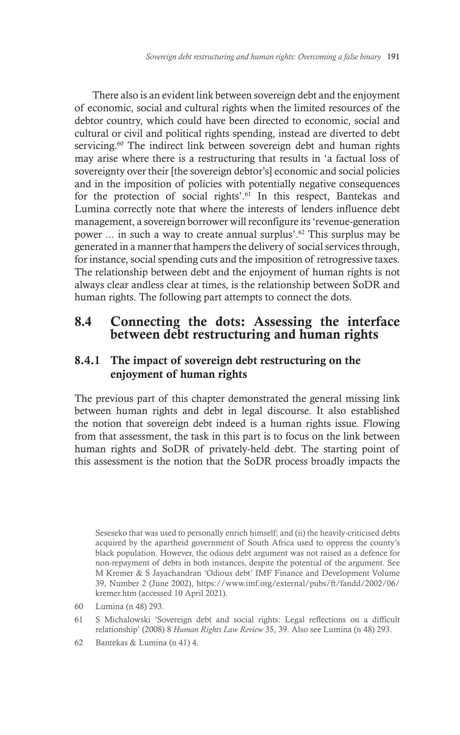There also is an evident link between sovereign debt and the enjoyment of economic, social and cultural rights when the limited resources of the debtor country, which could have been directed to economic, social and cultural or civil and political rights spending, instead are diverted to debt servicing.<sup>60</sup> The indirect link between sovereign debt and human rights may arise where there is a restructuring that results in 'a factual loss of sovereignty over their [the sovereign debtor's] economic and social policies and in the imposition of policies with potentially negative consequences for the protection of social rights'.<sup>61</sup> In this respect, Bantekas and Lumina correctly note that where the interests of lenders influence debt management, a sovereign borrower will reconfigure its 'revenue-generation power ... in such a way to create annual surplus'.62 This surplus may be generated in a manner that hampers the delivery of social services through, for instance, social spending cuts and the imposition of retrogressive taxes. The relationship between debt and the enjoyment of human rights is not always clear andless clear at times, is the relationship between SoDR and human rights. The following part attempts to connect the dots.

### **8.4** Connecting the dots: Assessing the interface between debt restructuring and human rights

#### 8.4.1 The impact of sovereign debt restructuring on the enjoyment of human rights

The previous part of this chapter demonstrated the general missing link between human rights and debt in legal discourse. It also established the notion that sovereign debt indeed is a human rights issue. Flowing from that assessment, the task in this part is to focus on the link between human rights and SoDR of privately-held debt. The starting point of this assessment is the notion that the SoDR process broadly impacts the

Seseseko that was used to personally enrich himself; and (ii) the heavily-criticised debts acquired by the apartheid government of South Africa used to oppress the county's black population. However, the odious debt argument was not raised as a defence for non-repayment of debts in both instances, despite the potential of the argument. See M Kremer & S Jayachandran 'Odious debt' IMF Finance and Development Volume 39, Number 2 (June 2002), https://www.imf.org/external/pubs/ft/fandd/2002/06/ kremer.htm (accessed 10 April 2021).

<sup>60</sup> Lumina (n 48) 293.

<sup>61</sup> S Michalowski 'Sovereign debt and social rights: Legal reflections on a difficult relationship' (2008) 8 *Human Rights Law Review* 35, 39. Also see Lumina (n 48) 293.

<sup>62</sup> Bantekas & Lumina (n 41) 4.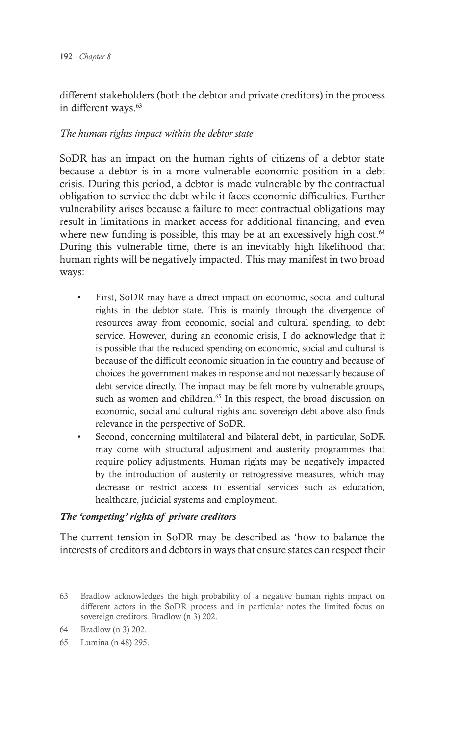different stakeholders (both the debtor and private creditors) in the process in different ways.<sup>63</sup>

#### *The human rights impact within the debtor state*

SoDR has an impact on the human rights of citizens of a debtor state because a debtor is in a more vulnerable economic position in a debt crisis. During this period, a debtor is made vulnerable by the contractual obligation to service the debt while it faces economic difficulties. Further vulnerability arises because a failure to meet contractual obligations may result in limitations in market access for additional financing, and even where new funding is possible, this may be at an excessively high cost. $64$ During this vulnerable time, there is an inevitably high likelihood that human rights will be negatively impacted. This may manifest in two broad ways:

- First, SoDR may have a direct impact on economic, social and cultural rights in the debtor state. This is mainly through the divergence of resources away from economic, social and cultural spending, to debt service. However, during an economic crisis, I do acknowledge that it is possible that the reduced spending on economic, social and cultural is because of the difficult economic situation in the country and because of choices the government makes in response and not necessarily because of debt service directly. The impact may be felt more by vulnerable groups, such as women and children.<sup>65</sup> In this respect, the broad discussion on economic, social and cultural rights and sovereign debt above also finds relevance in the perspective of SoDR.
- Second, concerning multilateral and bilateral debt, in particular, SoDR may come with structural adjustment and austerity programmes that require policy adjustments. Human rights may be negatively impacted by the introduction of austerity or retrogressive measures, which may decrease or restrict access to essential services such as education, healthcare, judicial systems and employment.

#### *The 'competing' rights of private creditors*

The current tension in SoDR may be described as 'how to balance the interests of creditors and debtors in ways that ensure states can respect their

65 Lumina (n 48) 295.

<sup>63</sup> Bradlow acknowledges the high probability of a negative human rights impact on different actors in the SoDR process and in particular notes the limited focus on sovereign creditors. Bradlow (n 3) 202.

<sup>64</sup> Bradlow (n 3) 202.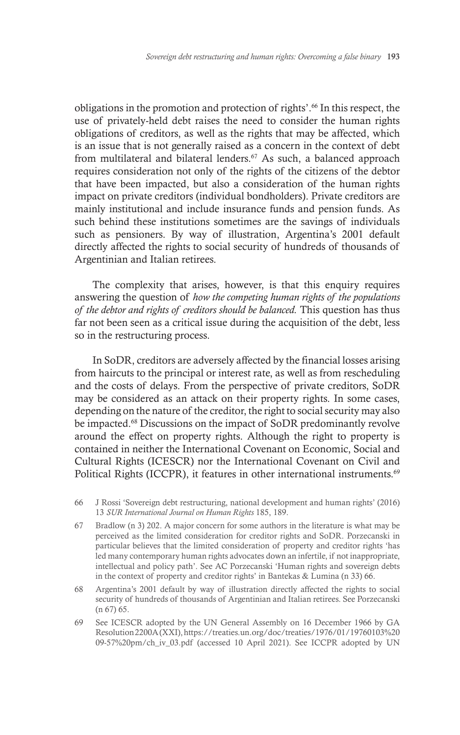obligations in the promotion and protection of rights'.66 In this respect, the use of privately-held debt raises the need to consider the human rights obligations of creditors, as well as the rights that may be affected, which is an issue that is not generally raised as a concern in the context of debt from multilateral and bilateral lenders.<sup>67</sup> As such, a balanced approach requires consideration not only of the rights of the citizens of the debtor that have been impacted, but also a consideration of the human rights impact on private creditors (individual bondholders). Private creditors are mainly institutional and include insurance funds and pension funds. As such behind these institutions sometimes are the savings of individuals such as pensioners. By way of illustration, Argentina's 2001 default directly affected the rights to social security of hundreds of thousands of Argentinian and Italian retirees.

The complexity that arises, however, is that this enquiry requires answering the question of *how the competing human rights of the populations of the debtor and rights of creditors should be balanced.* This question has thus far not been seen as a critical issue during the acquisition of the debt, less so in the restructuring process.

In SoDR, creditors are adversely affected by the financial losses arising from haircuts to the principal or interest rate, as well as from rescheduling and the costs of delays. From the perspective of private creditors, SoDR may be considered as an attack on their property rights. In some cases, depending on the nature of the creditor, the right to social security may also be impacted.68 Discussions on the impact of SoDR predominantly revolve around the effect on property rights. Although the right to property is contained in neither the International Covenant on Economic, Social and Cultural Rights (ICESCR) nor the International Covenant on Civil and Political Rights (ICCPR), it features in other international instruments.<sup>69</sup>

- 66 J Rossi 'Sovereign debt restructuring, national development and human rights' (2016) 13 *SUR International Journal on Human Rights* 185, 189.
- 67 Bradlow (n 3) 202. A major concern for some authors in the literature is what may be perceived as the limited consideration for creditor rights and SoDR. Porzecanski in particular believes that the limited consideration of property and creditor rights 'has led many contemporary human rights advocates down an infertile, if not inappropriate, intellectual and policy path'. See AC Porzecanski 'Human rights and sovereign debts in the context of property and creditor rights' in Bantekas & Lumina (n 33) 66.
- 68 Argentina's 2001 default by way of illustration directly affected the rights to social security of hundreds of thousands of Argentinian and Italian retirees. See Porzecanski (n 67) 65.
- 69 See ICESCR adopted by the UN General Assembly on 16 December 1966 by GA Resolution 2200A (XXI), https://treaties.un.org/doc/treaties/1976/01/19760103%20 09-57%20pm/ch\_iv\_03.pdf (accessed 10 April 2021). See ICCPR adopted by UN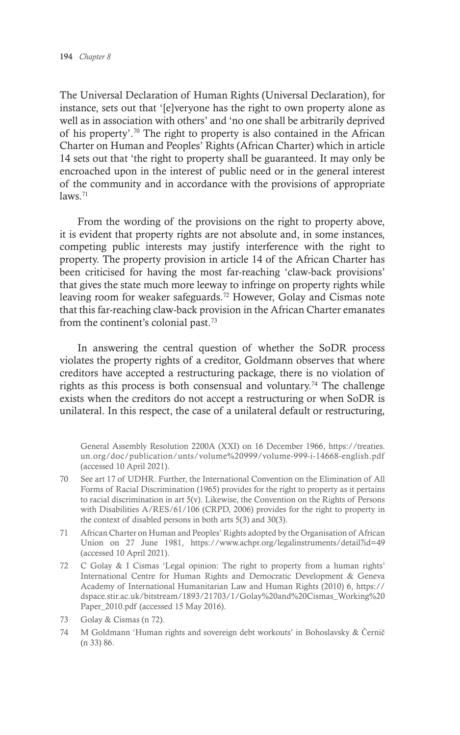The Universal Declaration of Human Rights (Universal Declaration), for instance, sets out that '[e]veryone has the right to own property alone as well as in association with others' and 'no one shall be arbitrarily deprived of his property'.70 The right to property is also contained in the African Charter on Human and Peoples' Rights (African Charter) which in article 14 sets out that 'the right to property shall be guaranteed. It may only be encroached upon in the interest of public need or in the general interest of the community and in accordance with the provisions of appropriate  $laws.<sup>71</sup>$ 

From the wording of the provisions on the right to property above, it is evident that property rights are not absolute and, in some instances, competing public interests may justify interference with the right to property. The property provision in article 14 of the African Charter has been criticised for having the most far-reaching 'claw-back provisions' that gives the state much more leeway to infringe on property rights while leaving room for weaker safeguards.<sup>72</sup> However, Golay and Cismas note that this far-reaching claw-back provision in the African Charter emanates from the continent's colonial past.73

In answering the central question of whether the SoDR process violates the property rights of a creditor, Goldmann observes that where creditors have accepted a restructuring package, there is no violation of rights as this process is both consensual and voluntary.<sup>74</sup> The challenge exists when the creditors do not accept a restructuring or when SoDR is unilateral. In this respect, the case of a unilateral default or restructuring,

General Assembly Resolution 2200A (XXI) on 16 December 1966, https://treaties. un.org/doc/publication/unts/volume%20999/volume-999-i-14668-english.pdf (accessed 10 April 2021).

- 70 See art 17 of UDHR. Further, the International Convention on the Elimination of All Forms of Racial Discrimination (1965) provides for the right to property as it pertains to racial discrimination in art 5(v). Likewise, the Convention on the Rights of Persons with Disabilities A/RES/61/106 (CRPD, 2006) provides for the right to property in the context of disabled persons in both arts 5(3) and 30(3).
- 71 African Charter on Human and Peoples' Rights adopted by the Organisation of African Union on 27 June 1981, https://www.achpr.org/legalinstruments/detail?id=49 (accessed 10 April 2021).
- 72 C Golay & I Cismas 'Legal opinion: The right to property from a human rights' International Centre for Human Rights and Democratic Development & Geneva Academy of International Humanitarian Law and Human Rights (2010) 6, https:// dspace.stir.ac.uk/bitstream/1893/21703/1/Golay%20and%20Cismas\_Working%20 Paper\_2010.pdf (accessed 15 May 2016).
- 73 Golay & Cismas (n 72).
- 74 M Goldmann 'Human rights and sovereign debt workouts' in Bohoslavsky & Černič (n 33) 86.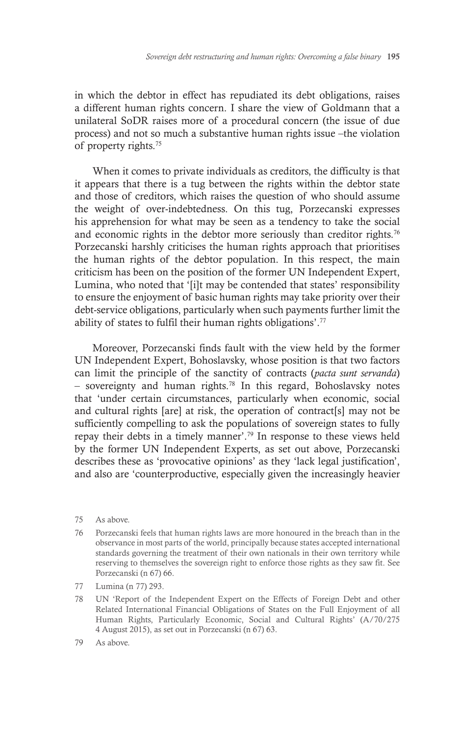in which the debtor in effect has repudiated its debt obligations, raises a different human rights concern. I share the view of Goldmann that a unilateral SoDR raises more of a procedural concern (the issue of due process) and not so much a substantive human rights issue –the violation of property rights.75

When it comes to private individuals as creditors, the difficulty is that it appears that there is a tug between the rights within the debtor state and those of creditors, which raises the question of who should assume the weight of over-indebtedness. On this tug, Porzecanski expresses his apprehension for what may be seen as a tendency to take the social and economic rights in the debtor more seriously than creditor rights.<sup>76</sup> Porzecanski harshly criticises the human rights approach that prioritises the human rights of the debtor population. In this respect, the main criticism has been on the position of the former UN Independent Expert, Lumina, who noted that '[i]t may be contended that states' responsibility to ensure the enjoyment of basic human rights may take priority over their debt-service obligations, particularly when such payments further limit the ability of states to fulfil their human rights obligations'.77

Moreover, Porzecanski finds fault with the view held by the former UN Independent Expert, Bohoslavsky, whose position is that two factors can limit the principle of the sanctity of contracts (*pacta sunt servanda*) – sovereignty and human rights.78 In this regard, Bohoslavsky notes that 'under certain circumstances, particularly when economic, social and cultural rights [are] at risk, the operation of contract[s] may not be sufficiently compelling to ask the populations of sovereign states to fully repay their debts in a timely manner'.79 In response to these views held by the former UN Independent Experts, as set out above, Porzecanski describes these as 'provocative opinions' as they 'lack legal justification', and also are 'counterproductive, especially given the increasingly heavier

- 75 As above.
- 76 Porzecanski feels that human rights laws are more honoured in the breach than in the observance in most parts of the world, principally because states accepted international standards governing the treatment of their own nationals in their own territory while reserving to themselves the sovereign right to enforce those rights as they saw fit. See Porzecanski (n 67) 66.
- 77 Lumina (n 77) 293.
- 78 UN 'Report of the Independent Expert on the Effects of Foreign Debt and other Related International Financial Obligations of States on the Full Enjoyment of all Human Rights, Particularly Economic, Social and Cultural Rights' (A/70/275 4 August 2015), as set out in Porzecanski (n 67) 63.
- 79 As above.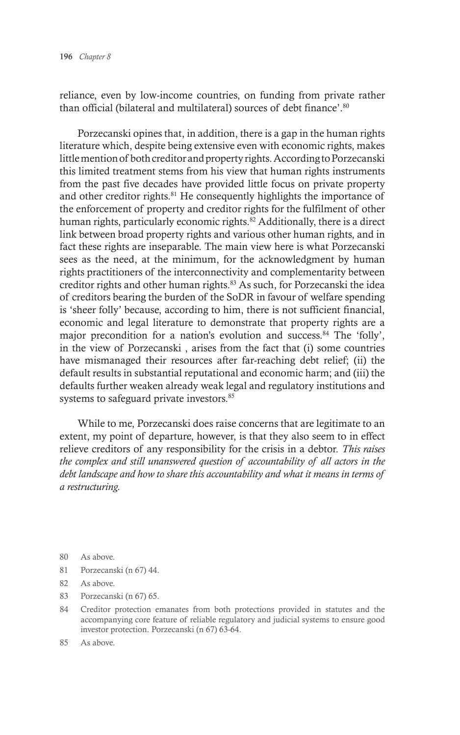reliance, even by low-income countries, on funding from private rather than official (bilateral and multilateral) sources of debt finance'.<sup>80</sup>

Porzecanski opines that, in addition, there is a gap in the human rights literature which, despite being extensive even with economic rights, makes little mention of both creditor and property rights. According to Porzecanski this limited treatment stems from his view that human rights instruments from the past five decades have provided little focus on private property and other creditor rights.<sup>81</sup> He consequently highlights the importance of the enforcement of property and creditor rights for the fulfilment of other human rights, particularly economic rights.<sup>82</sup> Additionally, there is a direct link between broad property rights and various other human rights, and in fact these rights are inseparable. The main view here is what Porzecanski sees as the need, at the minimum, for the acknowledgment by human rights practitioners of the interconnectivity and complementarity between creditor rights and other human rights.<sup>83</sup> As such, for Porzecanski the idea of creditors bearing the burden of the SoDR in favour of welfare spending is 'sheer folly' because, according to him, there is not sufficient financial, economic and legal literature to demonstrate that property rights are a major precondition for a nation's evolution and success.<sup>84</sup> The 'folly', in the view of Porzecanski , arises from the fact that (i) some countries have mismanaged their resources after far-reaching debt relief; (ii) the default results in substantial reputational and economic harm; and (iii) the defaults further weaken already weak legal and regulatory institutions and systems to safeguard private investors.<sup>85</sup>

While to me, Porzecanski does raise concerns that are legitimate to an extent, my point of departure, however, is that they also seem to in effect relieve creditors of any responsibility for the crisis in a debtor. *This raises the complex and still unanswered question of accountability of all actors in the debt landscape and how to share this accountability and what it means in terms of a restructuring.*

- 81 Porzecanski (n 67) 44.
- 82 As above.
- 83 Porzecanski (n 67) 65.
- 84 Creditor protection emanates from both protections provided in statutes and the accompanying core feature of reliable regulatory and judicial systems to ensure good investor protection. Porzecanski (n 67) 63-64.
- 85 As above.

<sup>80</sup> As above.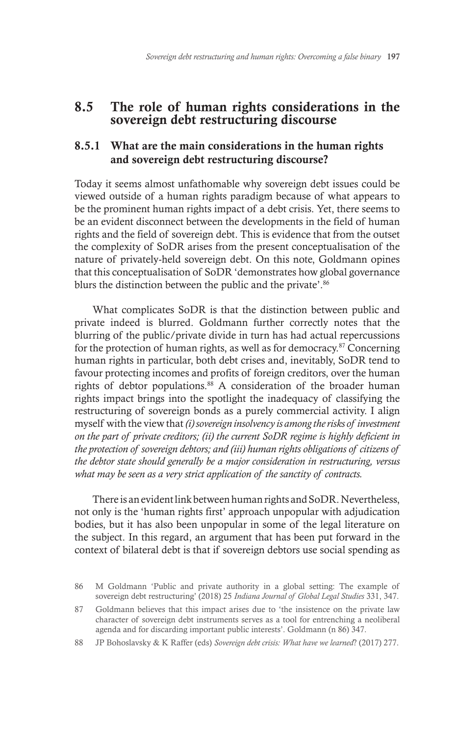### 8.5 The role of human rights considerations in the sovereign debt restructuring discourse

#### 8.5.1 What are the main considerations in the human rights and sovereign debt restructuring discourse?

Today it seems almost unfathomable why sovereign debt issues could be viewed outside of a human rights paradigm because of what appears to be the prominent human rights impact of a debt crisis. Yet, there seems to be an evident disconnect between the developments in the field of human rights and the field of sovereign debt. This is evidence that from the outset the complexity of SoDR arises from the present conceptualisation of the nature of privately-held sovereign debt. On this note, Goldmann opines that this conceptualisation of SoDR 'demonstrates how global governance blurs the distinction between the public and the private'.<sup>86</sup>

What complicates SoDR is that the distinction between public and private indeed is blurred. Goldmann further correctly notes that the blurring of the public/private divide in turn has had actual repercussions for the protection of human rights, as well as for democracy.<sup>87</sup> Concerning human rights in particular, both debt crises and, inevitably, SoDR tend to favour protecting incomes and profits of foreign creditors, over the human rights of debtor populations.<sup>88</sup> A consideration of the broader human rights impact brings into the spotlight the inadequacy of classifying the restructuring of sovereign bonds as a purely commercial activity. I align myself with the view that *(i) sovereign insolvency is among the risks of investment on the part of private creditors; (ii) the current SoDR regime is highly deficient in the protection of sovereign debtors; and (iii) human rights obligations of citizens of the debtor state should generally be a major consideration in restructuring, versus what may be seen as a very strict application of the sanctity of contracts.* 

There is an evident link between human rights and SoDR. Nevertheless, not only is the 'human rights first' approach unpopular with adjudication bodies, but it has also been unpopular in some of the legal literature on the subject. In this regard, an argument that has been put forward in the context of bilateral debt is that if sovereign debtors use social spending as

<sup>86</sup> M Goldmann 'Public and private authority in a global setting: The example of sovereign debt restructuring' (2018) 25 *Indiana Journal of Global Legal Studies* 331, 347.

<sup>87</sup> Goldmann believes that this impact arises due to 'the insistence on the private law character of sovereign debt instruments serves as a tool for entrenching a neoliberal agenda and for discarding important public interests'. Goldmann (n 86) 347.

<sup>88</sup> JP Bohoslavsky & K Raffer (eds) *Sovereign debt crisis: What have we learned*? (2017) 277.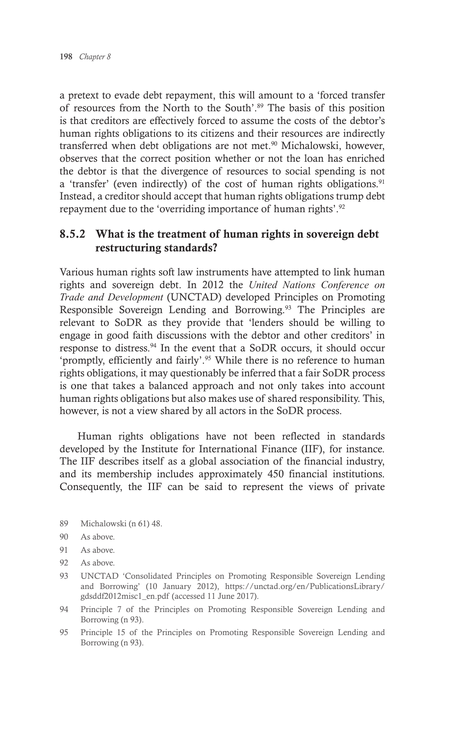a pretext to evade debt repayment, this will amount to a 'forced transfer of resources from the North to the South'.89 The basis of this position is that creditors are effectively forced to assume the costs of the debtor's human rights obligations to its citizens and their resources are indirectly transferred when debt obligations are not met.<sup>90</sup> Michalowski, however, observes that the correct position whether or not the loan has enriched the debtor is that the divergence of resources to social spending is not a 'transfer' (even indirectly) of the cost of human rights obligations.<sup>91</sup> Instead, a creditor should accept that human rights obligations trump debt repayment due to the 'overriding importance of human rights'.<sup>92</sup>

#### 8.5.2 What is the treatment of human rights in sovereign debt restructuring standards?

Various human rights soft law instruments have attempted to link human rights and sovereign debt. In 2012 the *United Nations Conference on Trade and Development* (UNCTAD) developed Principles on Promoting Responsible Sovereign Lending and Borrowing.<sup>93</sup> The Principles are relevant to SoDR as they provide that 'lenders should be willing to engage in good faith discussions with the debtor and other creditors' in response to distress.<sup>94</sup> In the event that a SoDR occurs, it should occur 'promptly, efficiently and fairly'.95 While there is no reference to human rights obligations, it may questionably be inferred that a fair SoDR process is one that takes a balanced approach and not only takes into account human rights obligations but also makes use of shared responsibility. This, however, is not a view shared by all actors in the SoDR process.

Human rights obligations have not been reflected in standards developed by the Institute for International Finance (IIF), for instance. The IIF describes itself as a global association of the financial industry, and its membership includes approximately 450 financial institutions. Consequently, the IIF can be said to represent the views of private

- 92 As above.
- 93 UNCTAD 'Consolidated Principles on Promoting Responsible Sovereign Lending and Borrowing' (10 January 2012), https://unctad.org/en/PublicationsLibrary/ gdsddf2012misc1\_en.pdf (accessed 11 June 2017).
- 94 Principle 7 of the Principles on Promoting Responsible Sovereign Lending and Borrowing (n 93).
- 95 Principle 15 of the Principles on Promoting Responsible Sovereign Lending and Borrowing (n 93).

<sup>89</sup> Michalowski (n 61) 48.

<sup>90</sup> As above.

<sup>91</sup> As above.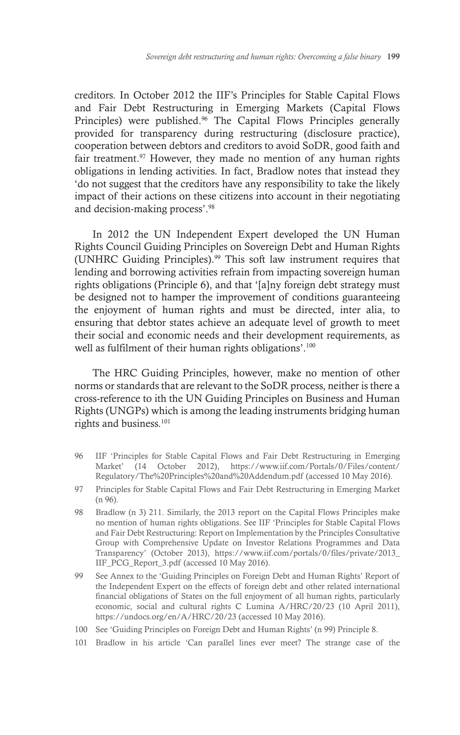creditors. In October 2012 the IIF's Principles for Stable Capital Flows and Fair Debt Restructuring in Emerging Markets (Capital Flows Principles) were published.<sup>96</sup> The Capital Flows Principles generally provided for transparency during restructuring (disclosure practice), cooperation between debtors and creditors to avoid SoDR, good faith and fair treatment.<sup>97</sup> However, they made no mention of any human rights obligations in lending activities. In fact, Bradlow notes that instead they 'do not suggest that the creditors have any responsibility to take the likely impact of their actions on these citizens into account in their negotiating and decision-making process'.98

In 2012 the UN Independent Expert developed the UN Human Rights Council Guiding Principles on Sovereign Debt and Human Rights (UNHRC Guiding Principles).99 This soft law instrument requires that lending and borrowing activities refrain from impacting sovereign human rights obligations (Principle 6), and that '[a]ny foreign debt strategy must be designed not to hamper the improvement of conditions guaranteeing the enjoyment of human rights and must be directed, inter alia, to ensuring that debtor states achieve an adequate level of growth to meet their social and economic needs and their development requirements, as well as fulfilment of their human rights obligations'.<sup>100</sup>

The HRC Guiding Principles, however, make no mention of other norms or standards that are relevant to the SoDR process, neither is there a cross-reference to ith the UN Guiding Principles on Business and Human Rights (UNGPs) which is among the leading instruments bridging human rights and business.101

- 96 IIF 'Principles for Stable Capital Flows and Fair Debt Restructuring in Emerging Market' (14 October 2012), https://www.iif.com/Portals/0/Files/content/ Regulatory/The%20Principles%20and%20Addendum.pdf (accessed 10 May 2016).
- 97 Principles for Stable Capital Flows and Fair Debt Restructuring in Emerging Market (n 96).
- 98 Bradlow (n 3) 211. Similarly, the 2013 report on the Capital Flows Principles make no mention of human rights obligations. See IIF 'Principles for Stable Capital Flows and Fair Debt Restructuring: Report on Implementation by the Principles Consultative Group with Comprehensive Update on Investor Relations Programmes and Data Transparency' (October 2013), https://www.iif.com/portals/0/files/private/2013\_ IIF\_PCG\_Report\_3.pdf (accessed 10 May 2016).
- 99 See Annex to the 'Guiding Principles on Foreign Debt and Human Rights' Report of the Independent Expert on the effects of foreign debt and other related international financial obligations of States on the full enjoyment of all human rights, particularly economic, social and cultural rights C Lumina A/HRC/20/23 (10 April 2011), https://undocs.org/en/A/HRC/20/23 (accessed 10 May 2016).
- 100 See 'Guiding Principles on Foreign Debt and Human Rights' (n 99) Principle 8.
- 101 Bradlow in his article 'Can parallel lines ever meet? The strange case of the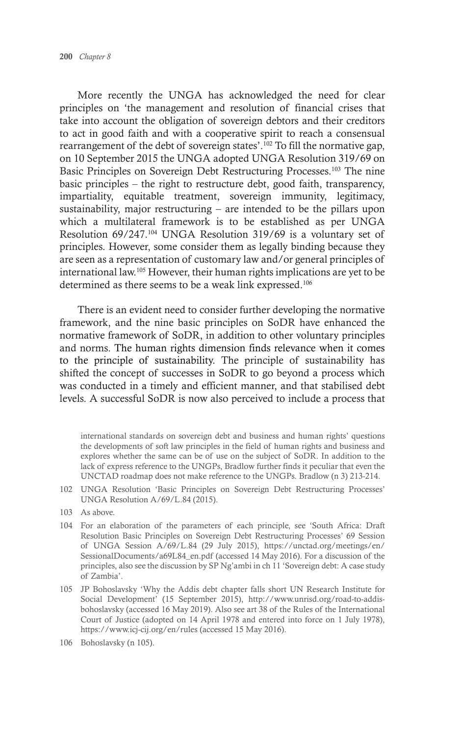More recently the UNGA has acknowledged the need for clear principles on 'the management and resolution of financial crises that take into account the obligation of sovereign debtors and their creditors to act in good faith and with a cooperative spirit to reach a consensual rearrangement of the debt of sovereign states'.<sup>102</sup> To fill the normative gap, on 10 September 2015 the UNGA adopted UNGA Resolution 319/69 on Basic Principles on Sovereign Debt Restructuring Processes.103 The nine basic principles – the right to restructure debt, good faith, transparency, impartiality, equitable treatment, sovereign immunity, legitimacy, sustainability, major restructuring – are intended to be the pillars upon which a multilateral framework is to be established as per UNGA Resolution 69/247.104 UNGA Resolution 319/69 is a voluntary set of principles. However, some consider them as legally binding because they are seen as a representation of customary law and/or general principles of international law.105 However, their human rights implications are yet to be determined as there seems to be a weak link expressed.<sup>106</sup>

There is an evident need to consider further developing the normative framework, and the nine basic principles on SoDR have enhanced the normative framework of SoDR, in addition to other voluntary principles and norms. The human rights dimension finds relevance when it comes to the principle of sustainability. The principle of sustainability has shifted the concept of successes in SoDR to go beyond a process which was conducted in a timely and efficient manner, and that stabilised debt levels. A successful SoDR is now also perceived to include a process that

international standards on sovereign debt and business and human rights' questions the developments of soft law principles in the field of human rights and business and explores whether the same can be of use on the subject of SoDR. In addition to the lack of express reference to the UNGPs, Bradlow further finds it peculiar that even the UNCTAD roadmap does not make reference to the UNGPs. Bradlow (n 3) 213-214.

- 102 UNGA Resolution 'Basic Principles on Sovereign Debt Restructuring Processes' UNGA Resolution A/69/L.84 (2015).
- 103 As above.
- 104 For an elaboration of the parameters of each principle, see 'South Africa: Draft Resolution Basic Principles on Sovereign Debt Restructuring Processes' 69 Session of UNGA Session A/69/L.84 (29 July 2015), https://unctad.org/meetings/en/ SessionalDocuments/a69L84\_en.pdf (accessed 14 May 2016). For a discussion of the principles, also see the discussion by SP Ng'ambi in ch 11 'Sovereign debt: A case study of Zambia'.
- 105 JP Bohoslavsky 'Why the Addis debt chapter falls short UN Research Institute for Social Development' (15 September 2015), http://www.unrisd.org/road-to-addisbohoslavsky (accessed 16 May 2019). Also see art 38 of the Rules of the International Court of Justice (adopted on 14 April 1978 and entered into force on 1 July 1978), https://www.icj-cij.org/en/rules (accessed 15 May 2016).

<sup>106</sup> Bohoslavsky (n 105).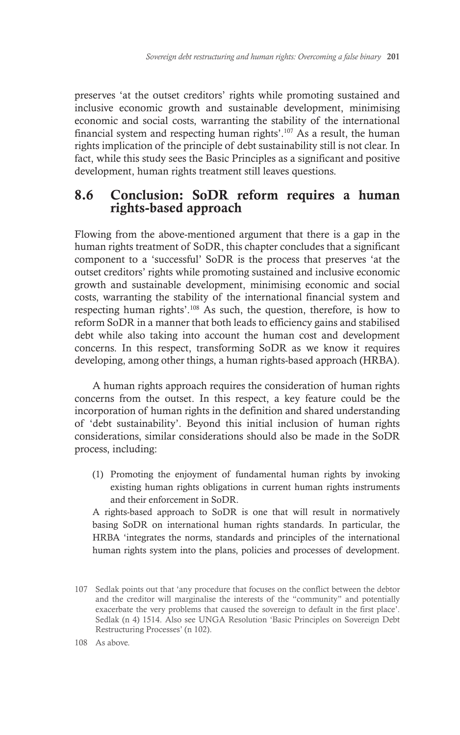preserves 'at the outset creditors' rights while promoting sustained and inclusive economic growth and sustainable development, minimising economic and social costs, warranting the stability of the international financial system and respecting human rights'.107 As a result, the human rights implication of the principle of debt sustainability still is not clear. In fact, while this study sees the Basic Principles as a significant and positive development, human rights treatment still leaves questions.

# 8.6 Conclusion: SoDR reform requires a human rights-based approach

Flowing from the above-mentioned argument that there is a gap in the human rights treatment of SoDR, this chapter concludes that a significant component to a 'successful' SoDR is the process that preserves 'at the outset creditors' rights while promoting sustained and inclusive economic growth and sustainable development, minimising economic and social costs, warranting the stability of the international financial system and respecting human rights'.108 As such, the question, therefore, is how to reform SoDR in a manner that both leads to efficiency gains and stabilised debt while also taking into account the human cost and development concerns. In this respect, transforming SoDR as we know it requires developing, among other things, a human rights-based approach (HRBA).

A human rights approach requires the consideration of human rights concerns from the outset. In this respect, a key feature could be the incorporation of human rights in the definition and shared understanding of 'debt sustainability'. Beyond this initial inclusion of human rights considerations, similar considerations should also be made in the SoDR process, including:

(1) Promoting the enjoyment of fundamental human rights by invoking existing human rights obligations in current human rights instruments and their enforcement in SoDR.

A rights-based approach to SoDR is one that will result in normatively basing SoDR on international human rights standards. In particular, the HRBA 'integrates the norms, standards and principles of the international human rights system into the plans, policies and processes of development.

<sup>107</sup> Sedlak points out that 'any procedure that focuses on the conflict between the debtor and the creditor will marginalise the interests of the "community" and potentially exacerbate the very problems that caused the sovereign to default in the first place'. Sedlak (n 4) 1514. Also see UNGA Resolution 'Basic Principles on Sovereign Debt Restructuring Processes' (n 102).

<sup>108</sup> As above.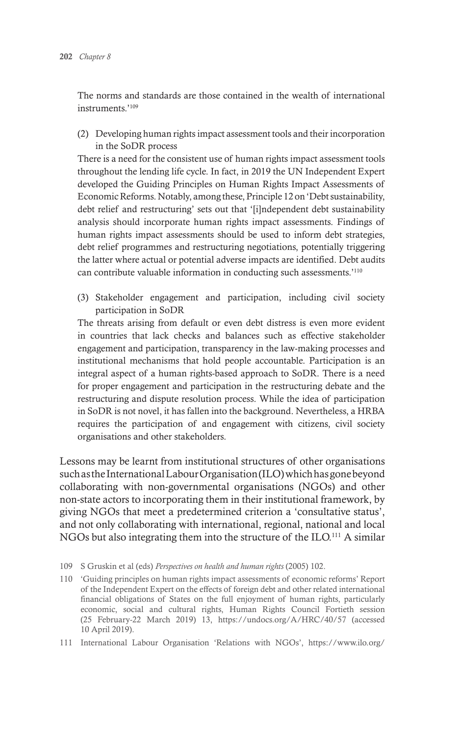The norms and standards are those contained in the wealth of international instruments<sup>'109</sup>

(2) Developing human rights impact assessment tools and their incorporation in the SoDR process

There is a need for the consistent use of human rights impact assessment tools throughout the lending life cycle. In fact, in 2019 the UN Independent Expert developed the Guiding Principles on Human Rights Impact Assessments of Economic Reforms. Notably, among these, Principle 12 on 'Debt sustainability, debt relief and restructuring' sets out that '[i]ndependent debt sustainability analysis should incorporate human rights impact assessments. Findings of human rights impact assessments should be used to inform debt strategies, debt relief programmes and restructuring negotiations, potentially triggering the latter where actual or potential adverse impacts are identified. Debt audits can contribute valuable information in conducting such assessments.'110

(3) Stakeholder engagement and participation, including civil society participation in SoDR

The threats arising from default or even debt distress is even more evident in countries that lack checks and balances such as effective stakeholder engagement and participation, transparency in the law-making processes and institutional mechanisms that hold people accountable. Participation is an integral aspect of a human rights-based approach to SoDR. There is a need for proper engagement and participation in the restructuring debate and the restructuring and dispute resolution process. While the idea of participation in SoDR is not novel, it has fallen into the background. Nevertheless, a HRBA requires the participation of and engagement with citizens, civil society organisations and other stakeholders.

Lessons may be learnt from institutional structures of other organisations such as the International Labour Organisation (ILO) which has gone beyond collaborating with non-governmental organisations (NGOs) and other non-state actors to incorporating them in their institutional framework, by giving NGOs that meet a predetermined criterion a 'consultative status', and not only collaborating with international, regional, national and local NGOs but also integrating them into the structure of the ILO.<sup>111</sup> A similar

- 110 'Guiding principles on human rights impact assessments of economic reforms' Report of the Independent Expert on the effects of foreign debt and other related international financial obligations of States on the full enjoyment of human rights, particularly economic, social and cultural rights, Human Rights Council Fortieth session (25 February-22 March 2019) 13, https://undocs.org/A/HRC/40/57 (accessed 10 April 2019).
- 111 International Labour Organisation 'Relations with NGOs', https://www.ilo.org/

<sup>109</sup> S Gruskin et al (eds) *Perspectives on health and human rights* (2005) 102.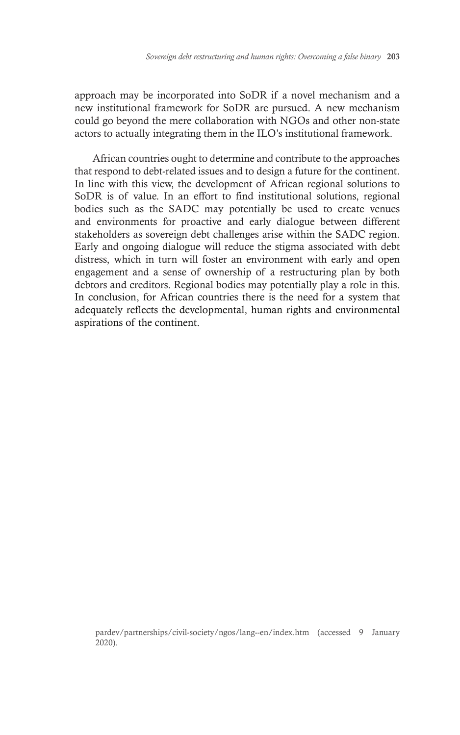approach may be incorporated into SoDR if a novel mechanism and a new institutional framework for SoDR are pursued. A new mechanism could go beyond the mere collaboration with NGOs and other non-state actors to actually integrating them in the ILO's institutional framework.

African countries ought to determine and contribute to the approaches that respond to debt-related issues and to design a future for the continent. In line with this view, the development of African regional solutions to SoDR is of value. In an effort to find institutional solutions, regional bodies such as the SADC may potentially be used to create venues and environments for proactive and early dialogue between different stakeholders as sovereign debt challenges arise within the SADC region. Early and ongoing dialogue will reduce the stigma associated with debt distress, which in turn will foster an environment with early and open engagement and a sense of ownership of a restructuring plan by both debtors and creditors. Regional bodies may potentially play a role in this. In conclusion, for African countries there is the need for a system that adequately reflects the developmental, human rights and environmental aspirations of the continent.

pardev/partnerships/civil-society/ngos/lang--en/index.htm (accessed 9 January 2020).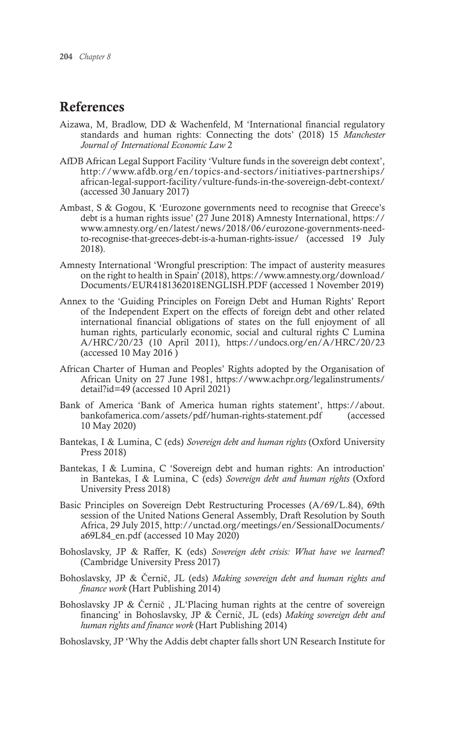# References

- Aizawa, M, Bradlow, DD & Wachenfeld, M 'International financial regulatory standards and human rights: Connecting the dots' (2018) 15 *Manchester Journal of International Economic Law* 2
- AfDB African Legal Support Facility 'Vulture funds in the sovereign debt context', http://www.afdb.org/en/topics-and-sectors/initiatives-partnerships/ african-legal-support-facility/vulture-funds-in-the-sovereign-debt-context/ (accessed 30 January 2017)
- Ambast, S & Gogou, K 'Eurozone governments need to recognise that Greece's debt is a human rights issue' (27 June 2018) Amnesty International, https:// www.amnesty.org/en/latest/news/2018/06/eurozone-governments-needto-recognise-that-greeces-debt-is-a-human-rights-issue/ (accessed 19 July 2018).
- Amnesty International 'Wrongful prescription: The impact of austerity measures on the right to health in Spain' (2018), https://www.amnesty.org/download/ Documents/EUR4181362018ENGLISH.PDF (accessed 1 November 2019)
- Annex to the 'Guiding Principles on Foreign Debt and Human Rights' Report of the Independent Expert on the effects of foreign debt and other related international financial obligations of states on the full enjoyment of all human rights, particularly economic, social and cultural rights C Lumina A/HRC/20/23 (10 April 2011), https://undocs.org/en/A/HRC/20/23 (accessed 10 May 2016 )
- African Charter of Human and Peoples' Rights adopted by the Organisation of African Unity on 27 June 1981, https://www.achpr.org/legalinstruments/ detail?id=49 (accessed 10 April 2021)
- Bank of America 'Bank of America human rights statement', https://about. bankofamerica.com/assets/pdf/human-rights-statement.pdf (accessed 10 May 2020)
- Bantekas, I & Lumina, C (eds) *Sovereign debt and human rights* (Oxford University Press 2018)
- Bantekas, I & Lumina, C 'Sovereign debt and human rights: An introduction' in Bantekas, I & Lumina, C (eds) *Sovereign debt and human rights* (Oxford University Press 2018)
- Basic Principles on Sovereign Debt Restructuring Processes (A/69/L.84), 69th session of the United Nations General Assembly, Draft Resolution by South Africa, 29 July 2015, http://unctad.org/meetings/en/SessionalDocuments/ a69L84\_en.pdf (accessed 10 May 2020)
- Bohoslavsky, JP & Raffer, K (eds) *Sovereign debt crisis: What have we learned*? (Cambridge University Press 2017)
- Bohoslavsky, JP & Černič, JL (eds) *Making sovereign debt and human rights and finance work* (Hart Publishing 2014)
- Bohoslavsky JP & Černič , JL'Placing human rights at the centre of sovereign financing' in Bohoslavsky, JP & Černič, JL (eds) *Making sovereign debt and human rights and finance work* (Hart Publishing 2014)

Bohoslavsky, JP 'Why the Addis debt chapter falls short UN Research Institute for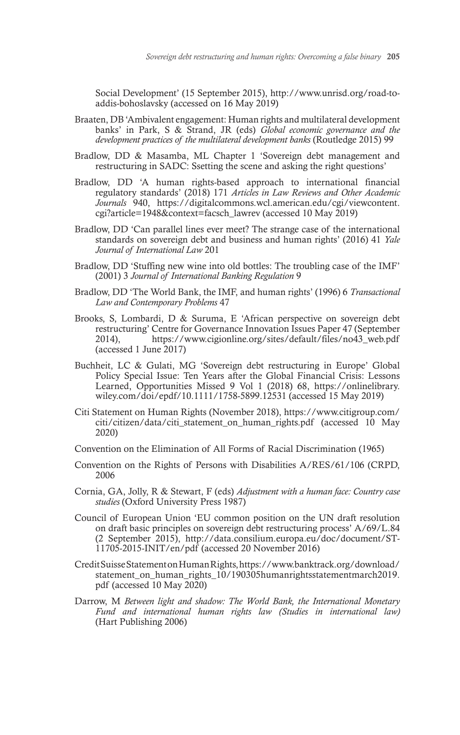Social Development' (15 September 2015), http://www.unrisd.org/road-toaddis-bohoslavsky (accessed on 16 May 2019)

- Braaten, DB 'Ambivalent engagement: Human rights and multilateral development banks' in Park, S & Strand, JR (eds) *Global economic governance and the development practices of the multilateral development banks* (Routledge 2015) 99
- Bradlow, DD & Masamba, ML Chapter 1 'Sovereign debt management and restructuring in SADC: Ssetting the scene and asking the right questions'
- Bradlow, DD 'A human rights-based approach to international financial regulatory standards' (2018) 171 *Articles in Law Reviews and Other Academic Journals* 940, https://digitalcommons.wcl.american.edu/cgi/viewcontent. cgi?article=1948&context=facsch\_lawrev (accessed 10 May 2019)
- Bradlow, DD 'Can parallel lines ever meet? The strange case of the international standards on sovereign debt and business and human rights' (2016) 41 *Yale Journal of International Law* 201
- Bradlow, DD 'Stuffing new wine into old bottles: The troubling case of the IMF' (2001) 3 *Journal of International Banking Regulation* 9
- Bradlow, DD 'The World Bank, the IMF, and human rights' (1996) 6 *Transactional Law and Contemporary Problems* 47
- Brooks, S, Lombardi, D & Suruma, E 'African perspective on sovereign debt restructuring' Centre for Governance Innovation Issues Paper 47 (September 2014), https://www.cigionline.org/sites/default/files/no43\_web.pdf (accessed 1 June 2017)
- Buchheit, LC & Gulati, MG 'Sovereign debt restructuring in Europe' Global Policy Special Issue: Ten Years after the Global Financial Crisis: Lessons Learned, Opportunities Missed 9 Vol 1 (2018) 68, https://onlinelibrary. wiley.com/doi/epdf/10.1111/1758-5899.12531 (accessed 15 May 2019)
- Citi Statement on Human Rights (November 2018), https://www.citigroup.com/ citi/citizen/data/citi\_statement\_on\_human\_rights.pdf (accessed 10 May 2020)
- Convention on the Elimination of All Forms of Racial Discrimination (1965)
- Convention on the Rights of Persons with Disabilities A/RES/61/106 (CRPD, 2006
- Cornia, GA, Jolly, R & Stewart, F (eds) *Adjustment with a human face: Country case studies* (Oxford University Press 1987)
- Council of European Union 'EU common position on the UN draft resolution on draft basic principles on sovereign debt restructuring process' A/69/L.84 (2 September 2015), http://data.consilium.europa.eu/doc/document/ST-11705-2015-INIT/en/pdf (accessed 20 November 2016)
- Credit Suisse Statement on Human Rights, https://www.banktrack.org/download/ statement\_on\_human\_rights\_10/190305humanrightsstatementmarch2019. pdf (accessed 10 May 2020)
- Darrow, M *Between light and shadow: The World Bank, the International Monetary Fund and international human rights law (Studies in international law)* (Hart Publishing 2006)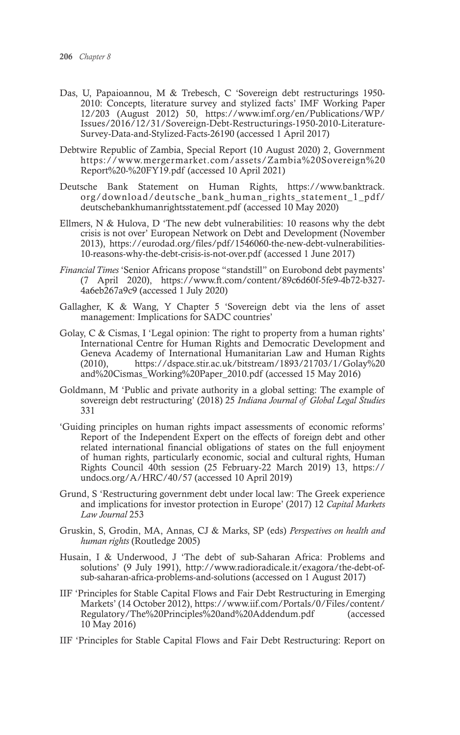- Das, U, Papaioannou, M & Trebesch, C 'Sovereign debt restructurings 1950- 2010: Concepts, literature survey and stylized facts' IMF Working Paper 12/203 (August 2012) 50, https://www.imf.org/en/Publications/WP/ Issues/2016/12/31/Sovereign-Debt-Restructurings-1950-2010-Literature-Survey-Data-and-Stylized-Facts-26190 (accessed 1 April 2017)
- Debtwire Republic of Zambia, Special Report (10 August 2020) 2, Government https://www.mergermarket.com/assets/Zambia%20Sovereign%20 Report%20-%20FY19.pdf (accessed 10 April 2021)
- Deutsche Bank Statement on Human Rights, https://www.banktrack. org/download/deutsche\_bank\_human\_rights\_statement\_1\_pdf/ deutschebankhumanrightsstatement.pdf (accessed 10 May 2020)
- Ellmers, N & Hulova, D 'The new debt vulnerabilities: 10 reasons why the debt crisis is not over' European Network on Debt and Development (November 2013), https://eurodad.org/files/pdf/1546060-the-new-debt-vulnerabilities-10-reasons-why-the-debt-crisis-is-not-over.pdf (accessed 1 June 2017)
- *Financial Times* 'Senior Africans propose "standstill" on Eurobond debt payments' (7 April 2020), https://www.ft.com/content/89c6d60f-5fe9-4b72-b327- 4a6eb267a9c9 (accessed 1 July 2020)
- Gallagher, K & Wang, Y Chapter 5 'Sovereign debt via the lens of asset management: Implications for SADC countries'
- Golay, C & Cismas, I 'Legal opinion: The right to property from a human rights' International Centre for Human Rights and Democratic Development and Geneva Academy of International Humanitarian Law and Human Rights (2010), https://dspace.stir.ac.uk/bitstream/1893/21703/1/Golay%20 and%20Cismas\_Working%20Paper\_2010.pdf (accessed 15 May 2016)
- Goldmann, M 'Public and private authority in a global setting: The example of sovereign debt restructuring' (2018) 25 *Indiana Journal of Global Legal Studies* 331
- 'Guiding principles on human rights impact assessments of economic reforms' Report of the Independent Expert on the effects of foreign debt and other related international financial obligations of states on the full enjoyment of human rights, particularly economic, social and cultural rights, Human Rights Council 40th session (25 February-22 March 2019) 13, https:// undocs.org/A/HRC/40/57 (accessed 10 April 2019)
- Grund, S 'Restructuring government debt under local law: The Greek experience and implications for investor protection in Europe' (2017) 12 *Capital Markets Law Journal* 253
- Gruskin, S, Grodin, MA, Annas, CJ & Marks, SP (eds) *Perspectives on health and human rights* (Routledge 2005)
- Husain, I & Underwood, J 'The debt of sub-Saharan Africa: Problems and solutions' (9 July 1991), http://www.radioradicale.it/exagora/the-debt-ofsub-saharan-africa-problems-and-solutions (accessed on 1 August 2017)
- IIF 'Principles for Stable Capital Flows and Fair Debt Restructuring in Emerging Markets' (14 October 2012), https://www.iif.com/Portals/0/Files/content/ Regulatory/The%20Principles%20and%20Addendum.pdf (accessed 10 May 2016)
- IIF 'Principles for Stable Capital Flows and Fair Debt Restructuring: Report on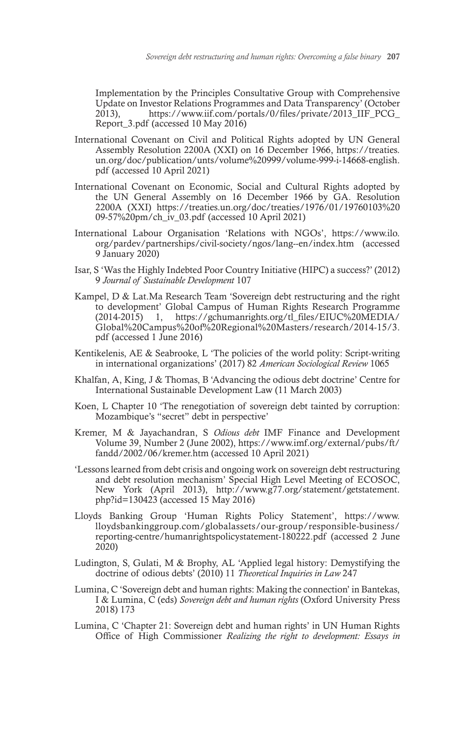Implementation by the Principles Consultative Group with Comprehensive Update on Investor Relations Programmes and Data Transparency' (October 2013). https://www.iif.com/portals/0/files/private/2013 IIF PCG https://www.iif.com/portals/0/files/private/2013\_IIF\_PCG\_ Report\_3.pdf (accessed 10 May 2016)

- International Covenant on Civil and Political Rights adopted by UN General Assembly Resolution 2200A (XXI) on 16 December 1966, https://treaties. un.org/doc/publication/unts/volume%20999/volume-999-i-14668-english. pdf (accessed 10 April 2021)
- International Covenant on Economic, Social and Cultural Rights adopted by the UN General Assembly on 16 December 1966 by GA. Resolution 2200A (XXI) https://treaties.un.org/doc/treaties/1976/01/19760103%20 09-57%20pm/ch\_iv\_03.pdf (accessed 10 April 2021)
- International Labour Organisation 'Relations with NGOs', https://www.ilo. org/pardev/partnerships/civil-society/ngos/lang--en/index.htm (accessed 9 January 2020)
- Isar, S 'Was the Highly Indebted Poor Country Initiative (HIPC) a success?' (2012) 9 *Journal of Sustainable Development* 107
- Kampel, D & Lat.Ma Research Team 'Sovereign debt restructuring and the right to development' Global Campus of Human Rights Research Programme (2014-2015) 1, https://gchumanrights.org/tl\_files/EIUC%20MEDIA/ Global%20Campus%20of%20Regional%20Masters/research/2014-15/3. pdf (accessed 1 June 2016)
- Kentikelenis, AE & Seabrooke, L 'The policies of the world polity: Script-writing in international organizations' (2017) 82 *American Sociological Review* 1065
- Khalfan, A, King, J & Thomas, B 'Advancing the odious debt doctrine' Centre for International Sustainable Development Law (11 March 2003)
- Koen, L Chapter 10 'The renegotiation of sovereign debt tainted by corruption: Mozambique's "secret" debt in perspective'
- Kremer, M & Jayachandran, S *Odious debt* IMF Finance and Development Volume 39, Number 2 (June 2002), https://www.imf.org/external/pubs/ft/ fandd/2002/06/kremer.htm (accessed 10 April 2021)
- 'Lessons learned from debt crisis and ongoing work on sovereign debt restructuring and debt resolution mechanism' Special High Level Meeting of ECOSOC, New York (April 2013), http://www.g77.org/statement/getstatement. php?id=130423 (accessed 15 May 2016)
- Lloyds Banking Group 'Human Rights Policy Statement', https://www. lloydsbankinggroup.com/globalassets/our-group/responsible-business/ reporting-centre/humanrightspolicystatement-180222.pdf (accessed 2 June 2020)
- Ludington, S, Gulati, M & Brophy, AL 'Applied legal history: Demystifying the doctrine of odious debts' (2010) 11 *Theoretical Inquiries in Law* 247
- Lumina, C 'Sovereign debt and human rights: Making the connection' in Bantekas, I & Lumina, C (eds) *Sovereign debt and human rights* (Oxford University Press 2018) 173
- Lumina, C 'Chapter 21: Sovereign debt and human rights' in UN Human Rights Office of High Commissioner *Realizing the right to development: Essays in*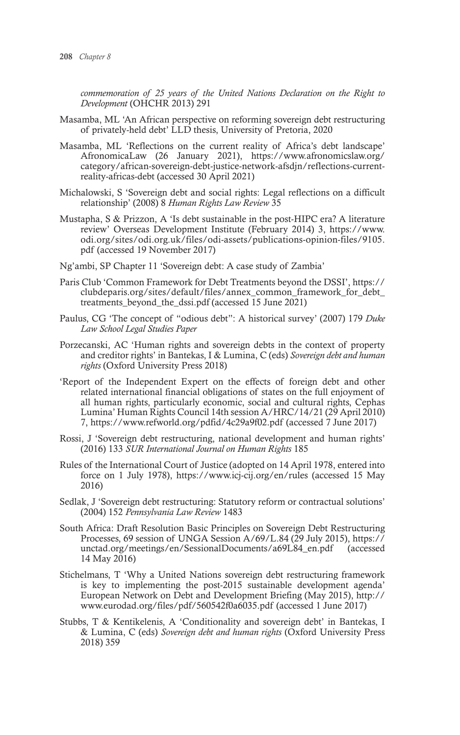*commemoration of 25 years of the United Nations Declaration on the Right to Development* (OHCHR 2013) 291

- Masamba, ML 'An African perspective on reforming sovereign debt restructuring of privately-held debt' LLD thesis, University of Pretoria, 2020
- Masamba, ML 'Reflections on the current reality of Africa's debt landscape' AfronomicaLaw (26 January 2021), https://www.afronomicslaw.org/ category/african-sovereign-debt-justice-network-afsdjn/reflections-currentreality-africas-debt (accessed 30 April 2021)
- Michalowski, S 'Sovereign debt and social rights: Legal reflections on a difficult relationship' (2008) 8 *Human Rights Law Review* 35
- Mustapha, S & Prizzon, A 'Is debt sustainable in the post-HIPC era? A literature review' Overseas Development Institute (February 2014) 3, https://www. odi.org/sites/odi.org.uk/files/odi-assets/publications-opinion-files/9105. pdf (accessed 19 November 2017)
- Ng'ambi, SP Chapter 11 'Sovereign debt: A case study of Zambia'
- Paris Club 'Common Framework for Debt Treatments beyond the DSSI', https:// clubdeparis.org/sites/default/files/annex\_common\_framework\_for\_debt\_ treatments\_beyond\_the\_dssi.pdf (accessed 15 June 2021)
- Paulus, CG 'The concept of "odious debt": A historical survey' (2007) 179 *Duke Law School Legal Studies Paper*
- Porzecanski, AC 'Human rights and sovereign debts in the context of property and creditor rights' in Bantekas, I & Lumina, C (eds) *Sovereign debt and human rights* (Oxford University Press 2018)
- 'Report of the Independent Expert on the effects of foreign debt and other related international financial obligations of states on the full enjoyment of all human rights, particularly economic, social and cultural rights, Cephas Lumina' Human Rights Council 14th session A/HRC/14/21 (29 April 2010) 7, https://www.refworld.org/pdfid/4c29a9f02.pdf (accessed 7 June 2017)
- Rossi, J 'Sovereign debt restructuring, national development and human rights' (2016) 133 *SUR International Journal on Human Rights* 185
- Rules of the International Court of Justice (adopted on 14 April 1978, entered into force on 1 July 1978), https://www.icj-cij.org/en/rules (accessed 15 May 2016)
- Sedlak, J 'Sovereign debt restructuring: Statutory reform or contractual solutions' (2004) 152 *Pennsylvania Law Review* 1483
- South Africa: Draft Resolution Basic Principles on Sovereign Debt Restructuring Processes, 69 session of UNGA Session A/69/L.84 (29 July 2015), https:// unctad.org/meetings/en/SessionalDocuments/a69L84\_en.pdf (accessed 14 May 2016)
- Stichelmans, T 'Why a United Nations sovereign debt restructuring framework is key to implementing the post-2015 sustainable development agenda' European Network on Debt and Development Briefing (May 2015), http:// www.eurodad.org/files/pdf/560542f0a6035.pdf (accessed 1 June 2017)
- Stubbs, T & Kentikelenis, A 'Conditionality and sovereign debt' in Bantekas, I & Lumina, C (eds) *Sovereign debt and human rights* (Oxford University Press 2018) 359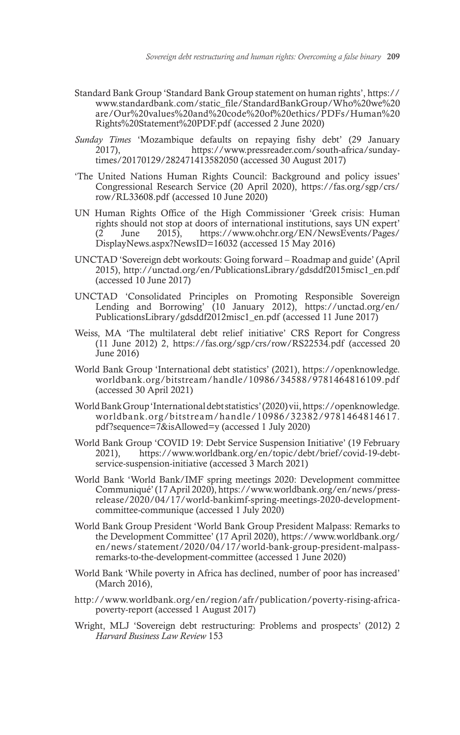- Standard Bank Group 'Standard Bank Group statement on human rights', https:// www.standardbank.com/static\_file/StandardBankGroup/Who%20we%20 are/Our%20values%20and%20code%20of%20ethics/PDFs/Human%20 Rights%20Statement%20PDF.pdf (accessed 2 June 2020)
- *Sunday Times* 'Mozambique defaults on repaying fishy debt' (29 January https://www.pressreader.com/south-africa/sundaytimes/20170129/282471413582050 (accessed 30 August 2017)
- 'The United Nations Human Rights Council: Background and policy issues' Congressional Research Service (20 April 2020), https://fas.org/sgp/crs/ row/RL33608.pdf (accessed 10 June 2020)
- UN Human Rights Office of the High Commissioner 'Greek crisis: Human rights should not stop at doors of international institutions, says UN expert' (2 June 2015), https://www.ohchr.org/EN/NewsEvents/Pages/ DisplayNews.aspx?NewsID=16032 (accessed 15 May 2016)
- UNCTAD 'Sovereign debt workouts: Going forward Roadmap and guide' (April 2015), http://unctad.org/en/PublicationsLibrary/gdsddf2015misc1\_en.pdf (accessed 10 June 2017)
- UNCTAD 'Consolidated Principles on Promoting Responsible Sovereign Lending and Borrowing' (10 January 2012), https://unctad.org/en/ PublicationsLibrary/gdsddf2012misc1\_en.pdf (accessed 11 June 2017)
- Weiss, MA 'The multilateral debt relief initiative' CRS Report for Congress (11 June 2012) 2, https://fas.org/sgp/crs/row/RS22534.pdf (accessed 20 June 2016)
- World Bank Group 'International debt statistics' (2021), https://openknowledge. worldbank.org/bitstream/handle/10986/34588/9781464816109.pdf (accessed 30 April 2021)
- World Bank Group 'International debt statistics' (2020) vii, https://openknowledge. worldbank.org/bitstream/handle/10986/32382/9781464814617. pdf?sequence=7&isAllowed=y (accessed 1 July 2020)
- World Bank Group 'COVID 19: Debt Service Suspension Initiative' (19 February 2021), https://www.worldbank.org/en/topic/debt/brief/covid-19-debtservice-suspension-initiative (accessed 3 March 2021)
- World Bank 'World Bank/IMF spring meetings 2020: Development committee Communiqué' (17 April 2020), https://www.worldbank.org/en/news/pressrelease/2020/04/17/world-bankimf-spring-meetings-2020-developmentcommittee-communique (accessed 1 July 2020)
- World Bank Group President 'World Bank Group President Malpass: Remarks to the Development Committee' (17 April 2020), https://www.worldbank.org/ en/news/statement/2020/04/17/world-bank-group-president-malpassremarks-to-the-development-committee (accessed 1 June 2020)
- World Bank 'While poverty in Africa has declined, number of poor has increased' (March 2016),
- http://www.worldbank.org/en/region/afr/publication/poverty-rising-africapoverty-report (accessed 1 August 2017)
- Wright, MLJ 'Sovereign debt restructuring: Problems and prospects' (2012) 2 *Harvard Business Law Review* 153